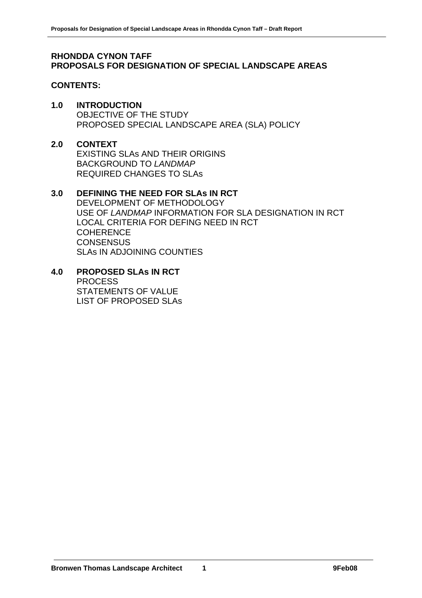#### **RHONDDA CYNON TAFF PROPOSALS FOR DESIGNATION OF SPECIAL LANDSCAPE AREAS**

#### **CONTENTS:**

#### **1.0 INTRODUCTION**

 OBJECTIVE OF THE STUDY PROPOSED SPECIAL LANDSCAPE AREA (SLA) POLICY

#### **2.0 CONTEXT**

 EXISTING SLAs AND THEIR ORIGINS BACKGROUND TO *LANDMAP* REQUIRED CHANGES TO SLAs

#### **3.0 DEFINING THE NEED FOR SLAs IN RCT**

 DEVELOPMENT OF METHODOLOGY USE OF *LANDMAP* INFORMATION FOR SLA DESIGNATION IN RCT LOCAL CRITERIA FOR DEFING NEED IN RCT **COHERENCE CONSENSUS** SLAs IN ADJOINING COUNTIES

**4.0 PROPOSED SLAs IN RCT**  PROCESS STATEMENTS OF VALUE LIST OF PROPOSED SLAs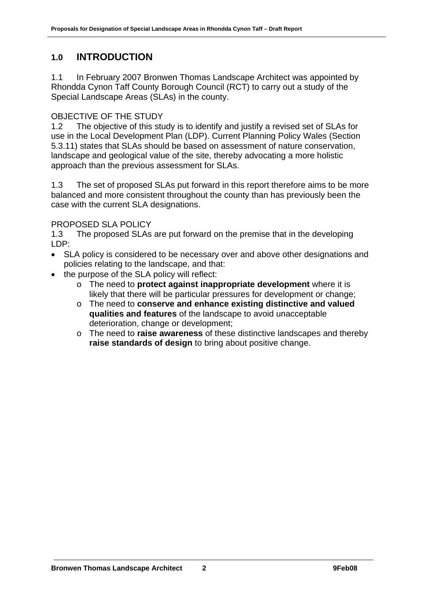# **1.0 INTRODUCTION**

1.1 In February 2007 Bronwen Thomas Landscape Architect was appointed by Rhondda Cynon Taff County Borough Council (RCT) to carry out a study of the Special Landscape Areas (SLAs) in the county.

# OBJECTIVE OF THE STUDY

1.2 The objective of this study is to identify and justify a revised set of SLAs for use in the Local Development Plan (LDP). Current Planning Policy Wales (Section 5.3.11) states that SLAs should be based on assessment of nature conservation, landscape and geological value of the site, thereby advocating a more holistic approach than the previous assessment for SLAs.

1.3 The set of proposed SLAs put forward in this report therefore aims to be more balanced and more consistent throughout the county than has previously been the case with the current SLA designations.

# PROPOSED SLA POLICY

1.3 The proposed SLAs are put forward on the premise that in the developing LDP:

- SLA policy is considered to be necessary over and above other designations and policies relating to the landscape, and that:
- the purpose of the SLA policy will reflect:
	- o The need to **protect against inappropriate development** where it is likely that there will be particular pressures for development or change;
	- o The need to **conserve and enhance existing distinctive and valued qualities and features** of the landscape to avoid unacceptable deterioration, change or development;
	- o The need to **raise awareness** of these distinctive landscapes and thereby **raise standards of design** to bring about positive change.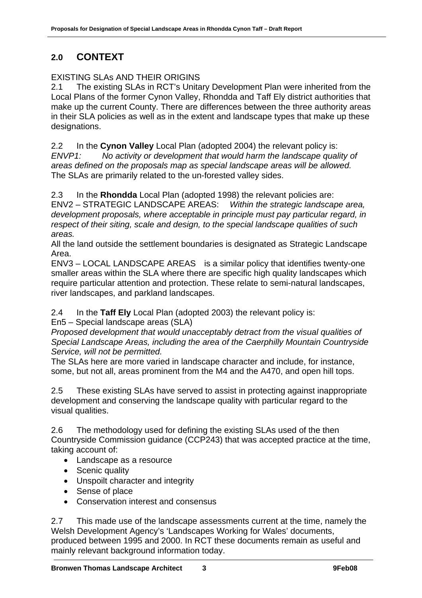# **2.0 CONTEXT**

# EXISTING SLAs AND THEIR ORIGINS

2.1 The existing SLAs in RCT's Unitary Development Plan were inherited from the Local Plans of the former Cynon Valley, Rhondda and Taff Ely district authorities that make up the current County. There are differences between the three authority areas in their SLA policies as well as in the extent and landscape types that make up these designations.

2.2 In the **Cynon Valley** Local Plan (adopted 2004) the relevant policy is: *ENVP1: No activity or development that would harm the landscape quality of areas defined on the proposals map as special landscape areas will be allowed.* The SLAs are primarily related to the un-forested valley sides.

2.3 In the **Rhondda** Local Plan (adopted 1998) the relevant policies are:

ENV2 – STRATEGIC LANDSCAPE AREAS: *Within the strategic landscape area, development proposals, where acceptable in principle must pay particular regard, in respect of their siting, scale and design, to the special landscape qualities of such areas.*

All the land outside the settlement boundaries is designated as Strategic Landscape Area.

ENV3 – LOCAL LANDSCAPE AREAS is a similar policy that identifies twenty-one smaller areas within the SLA where there are specific high quality landscapes which require particular attention and protection. These relate to semi-natural landscapes, river landscapes, and parkland landscapes.

2.4 In the **Taff Ely** Local Plan (adopted 2003) the relevant policy is:

En5 – Special landscape areas (SLA)

*Proposed development that would unacceptably detract from the visual qualities of Special Landscape Areas, including the area of the Caerphilly Mountain Countryside Service, will not be permitted.* 

The SLAs here are more varied in landscape character and include, for instance, some, but not all, areas prominent from the M4 and the A470, and open hill tops.

2.5 These existing SLAs have served to assist in protecting against inappropriate development and conserving the landscape quality with particular regard to the visual qualities.

2.6 The methodology used for defining the existing SLAs used of the then Countryside Commission guidance (CCP243) that was accepted practice at the time, taking account of:

- Landscape as a resource
- Scenic quality
- Unspoilt character and integrity
- Sense of place
- Conservation interest and consensus

2.7 This made use of the landscape assessments current at the time, namely the Welsh Development Agency's 'Landscapes Working for Wales' documents, produced between 1995 and 2000. In RCT these documents remain as useful and mainly relevant background information today.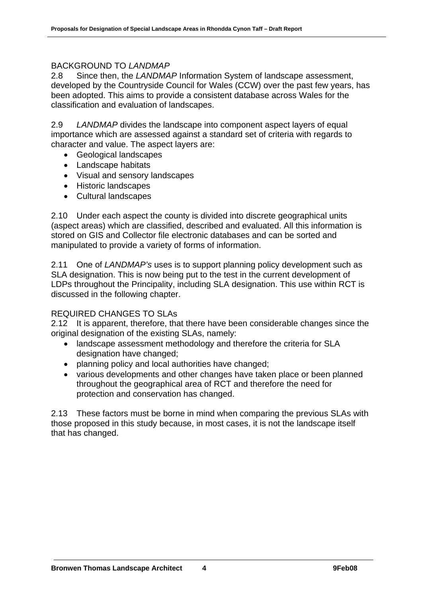#### BACKGROUND TO *LANDMAP*

2.8 Since then, the *LANDMAP* Information System of landscape assessment, developed by the Countryside Council for Wales (CCW) over the past few years, has been adopted. This aims to provide a consistent database across Wales for the classification and evaluation of landscapes.

2.9 *LANDMAP* divides the landscape into component aspect layers of equal importance which are assessed against a standard set of criteria with regards to character and value. The aspect layers are:

- Geological landscapes
- Landscape habitats
- Visual and sensory landscapes
- Historic landscapes
- Cultural landscapes

2.10 Under each aspect the county is divided into discrete geographical units (aspect areas) which are classified, described and evaluated. All this information is stored on GIS and Collector file electronic databases and can be sorted and manipulated to provide a variety of forms of information.

2.11 One of *LANDMAP's* uses is to support planning policy development such as SLA designation. This is now being put to the test in the current development of LDPs throughout the Principality, including SLA designation. This use within RCT is discussed in the following chapter.

#### REQUIRED CHANGES TO SLAs

2.12 It is apparent, therefore, that there have been considerable changes since the original designation of the existing SLAs, namely:

- landscape assessment methodology and therefore the criteria for SLA designation have changed;
- planning policy and local authorities have changed;
- various developments and other changes have taken place or been planned throughout the geographical area of RCT and therefore the need for protection and conservation has changed.

2.13 These factors must be borne in mind when comparing the previous SLAs with those proposed in this study because, in most cases, it is not the landscape itself that has changed.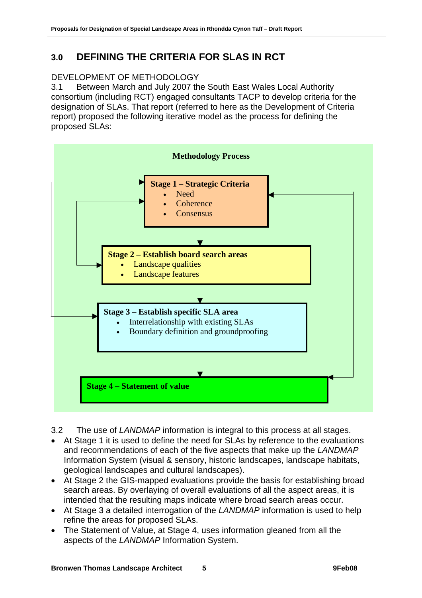# **3.0 DEFINING THE CRITERIA FOR SLAS IN RCT**

# DEVELOPMENT OF METHODOLOGY

3.1 Between March and July 2007 the South East Wales Local Authority consortium (including RCT) engaged consultants TACP to develop criteria for the designation of SLAs. That report (referred to here as the Development of Criteria report) proposed the following iterative model as the process for defining the proposed SLAs:



- 3.2 The use of *LANDMAP* information is integral to this process at all stages.
- At Stage 1 it is used to define the need for SLAs by reference to the evaluations and recommendations of each of the five aspects that make up the *LANDMAP* Information System (visual & sensory, historic landscapes, landscape habitats, geological landscapes and cultural landscapes).
- At Stage 2 the GIS-mapped evaluations provide the basis for establishing broad search areas. By overlaying of overall evaluations of all the aspect areas, it is intended that the resulting maps indicate where broad search areas occur.
- At Stage 3 a detailed interrogation of the *LANDMAP* information is used to help refine the areas for proposed SLAs.
- The Statement of Value, at Stage 4, uses information gleaned from all the aspects of the *LANDMAP* Information System.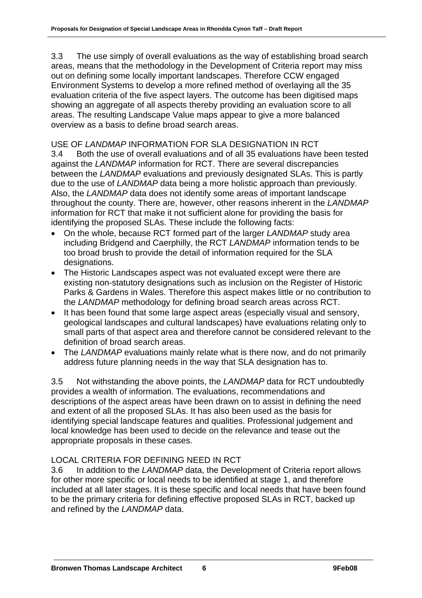3.3 The use simply of overall evaluations as the way of establishing broad search areas, means that the methodology in the Development of Criteria report may miss out on defining some locally important landscapes. Therefore CCW engaged Environment Systems to develop a more refined method of overlaying all the 35 evaluation criteria of the five aspect layers. The outcome has been digitised maps showing an aggregate of all aspects thereby providing an evaluation score to all areas. The resulting Landscape Value maps appear to give a more balanced overview as a basis to define broad search areas.

# USE OF *LANDMAP* INFORMATION FOR SLA DESIGNATION IN RCT

3.4 Both the use of overall evaluations and of all 35 evaluations have been tested against the *LANDMAP* information for RCT. There are several discrepancies between the *LANDMAP* evaluations and previously designated SLAs. This is partly due to the use of *LANDMAP* data being a more holistic approach than previously. Also, the *LANDMAP* data does not identify some areas of important landscape throughout the county. There are, however, other reasons inherent in the *LANDMAP* information for RCT that make it not sufficient alone for providing the basis for identifying the proposed SLAs. These include the following facts:

- On the whole, because RCT formed part of the larger *LANDMAP* study area including Bridgend and Caerphilly, the RCT *LANDMAP* information tends to be too broad brush to provide the detail of information required for the SLA designations.
- The Historic Landscapes aspect was not evaluated except were there are existing non-statutory designations such as inclusion on the Register of Historic Parks & Gardens in Wales. Therefore this aspect makes little or no contribution to the *LANDMAP* methodology for defining broad search areas across RCT.
- It has been found that some large aspect areas (especially visual and sensory, geological landscapes and cultural landscapes) have evaluations relating only to small parts of that aspect area and therefore cannot be considered relevant to the definition of broad search areas.
- The *LANDMAP* evaluations mainly relate what is there now, and do not primarily address future planning needs in the way that SLA designation has to.

3.5 Not withstanding the above points, the *LANDMAP* data for RCT undoubtedly provides a wealth of information. The evaluations, recommendations and descriptions of the aspect areas have been drawn on to assist in defining the need and extent of all the proposed SLAs. It has also been used as the basis for identifying special landscape features and qualities. Professional judgement and local knowledge has been used to decide on the relevance and tease out the appropriate proposals in these cases.

# LOCAL CRITERIA FOR DEFINING NEED IN RCT

3.6 In addition to the *LANDMAP* data, the Development of Criteria report allows for other more specific or local needs to be identified at stage 1, and therefore included at all later stages. It is these specific and local needs that have been found to be the primary criteria for defining effective proposed SLAs in RCT, backed up and refined by the *LANDMAP* data.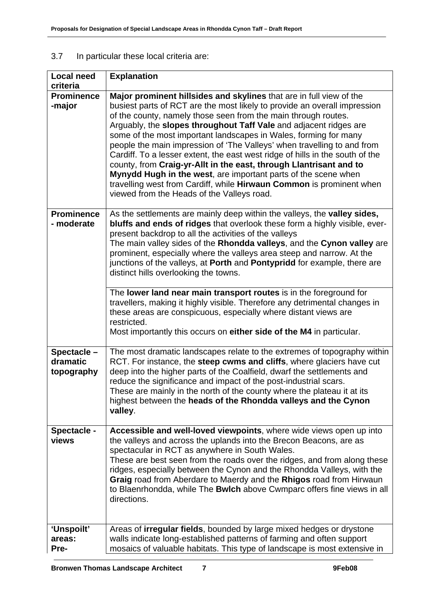# 3.7 In particular these local criteria are:

| <b>Local need</b>                    | <b>Explanation</b>                                                                                                                                                                                                                                                                                                                                                                                                                                                                                                                                                                                                                                                                                             |
|--------------------------------------|----------------------------------------------------------------------------------------------------------------------------------------------------------------------------------------------------------------------------------------------------------------------------------------------------------------------------------------------------------------------------------------------------------------------------------------------------------------------------------------------------------------------------------------------------------------------------------------------------------------------------------------------------------------------------------------------------------------|
| criteria<br><b>Prominence</b>        | Major prominent hillsides and skylines that are in full view of the                                                                                                                                                                                                                                                                                                                                                                                                                                                                                                                                                                                                                                            |
| -major                               | busiest parts of RCT are the most likely to provide an overall impression<br>of the county, namely those seen from the main through routes.<br>Arguably, the slopes throughout Taff Vale and adjacent ridges are<br>some of the most important landscapes in Wales, forming for many<br>people the main impression of 'The Valleys' when travelling to and from<br>Cardiff. To a lesser extent, the east west ridge of hills in the south of the<br>county, from Craig-yr-Allt in the east, through Llantrisant and to<br>Mynydd Hugh in the west, are important parts of the scene when<br>travelling west from Cardiff, while Hirwaun Common is prominent when<br>viewed from the Heads of the Valleys road. |
| <b>Prominence</b><br>- moderate      | As the settlements are mainly deep within the valleys, the <b>valley sides</b> ,<br>bluffs and ends of ridges that overlook these form a highly visible, ever-<br>present backdrop to all the activities of the valleys<br>The main valley sides of the Rhondda valleys, and the Cynon valley are<br>prominent, especially where the valleys area steep and narrow. At the<br>junctions of the valleys, at Porth and Pontypridd for example, there are<br>distinct hills overlooking the towns.                                                                                                                                                                                                                |
|                                      | The lower land near main transport routes is in the foreground for<br>travellers, making it highly visible. Therefore any detrimental changes in<br>these areas are conspicuous, especially where distant views are<br>restricted.<br>Most importantly this occurs on either side of the M4 in particular.                                                                                                                                                                                                                                                                                                                                                                                                     |
| Spectacle-<br>dramatic<br>topography | The most dramatic landscapes relate to the extremes of topography within<br>RCT. For instance, the steep cwms and cliffs, where glaciers have cut<br>deep into the higher parts of the Coalfield, dwarf the settlements and<br>reduce the significance and impact of the post-industrial scars.<br>These are mainly in the north of the county where the plateau it at its<br>highest between the heads of the Rhondda valleys and the Cynon<br>valley.                                                                                                                                                                                                                                                        |
| Spectacle -<br>views                 | Accessible and well-loved viewpoints, where wide views open up into<br>the valleys and across the uplands into the Brecon Beacons, are as<br>spectacular in RCT as anywhere in South Wales.<br>These are best seen from the roads over the ridges, and from along these<br>ridges, especially between the Cynon and the Rhondda Valleys, with the<br>Graig road from Aberdare to Maerdy and the Rhigos road from Hirwaun<br>to Blaenrhondda, while The Bwlch above Cwmparc offers fine views in all<br>directions.                                                                                                                                                                                             |
| 'Unspoilt'<br>areas:<br>Pre-         | Areas of <b>irregular fields</b> , bounded by large mixed hedges or drystone<br>walls indicate long-established patterns of farming and often support<br>mosaics of valuable habitats. This type of landscape is most extensive in                                                                                                                                                                                                                                                                                                                                                                                                                                                                             |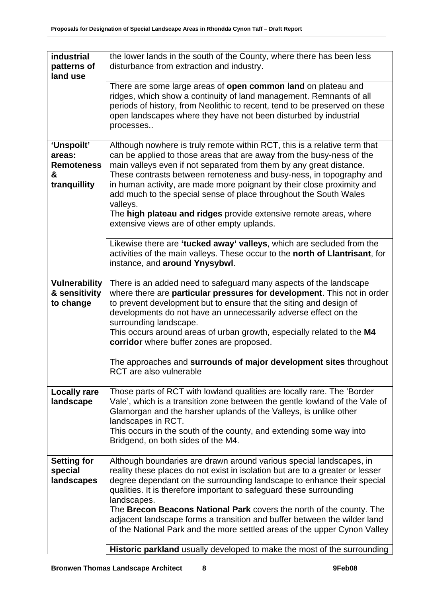| industrial<br>patterns of<br>land use                          | the lower lands in the south of the County, where there has been less<br>disturbance from extraction and industry.                                                                                                                                                                                                                                                                                                                                                                                                                                                              |  |
|----------------------------------------------------------------|---------------------------------------------------------------------------------------------------------------------------------------------------------------------------------------------------------------------------------------------------------------------------------------------------------------------------------------------------------------------------------------------------------------------------------------------------------------------------------------------------------------------------------------------------------------------------------|--|
|                                                                | There are some large areas of open common land on plateau and<br>ridges, which show a continuity of land management. Remnants of all<br>periods of history, from Neolithic to recent, tend to be preserved on these<br>open landscapes where they have not been disturbed by industrial<br>processes                                                                                                                                                                                                                                                                            |  |
| 'Unspoilt'<br>areas:<br><b>Remoteness</b><br>&<br>tranquillity | Although nowhere is truly remote within RCT, this is a relative term that<br>can be applied to those areas that are away from the busy-ness of the<br>main valleys even if not separated from them by any great distance.<br>These contrasts between remoteness and busy-ness, in topography and<br>in human activity, are made more poignant by their close proximity and<br>add much to the special sense of place throughout the South Wales<br>valleys.<br>The high plateau and ridges provide extensive remote areas, where<br>extensive views are of other empty uplands. |  |
|                                                                | Likewise there are 'tucked away' valleys, which are secluded from the<br>activities of the main valleys. These occur to the north of Llantrisant, for<br>instance, and around Ynysybwl.                                                                                                                                                                                                                                                                                                                                                                                         |  |
| <b>Vulnerability</b><br>& sensitivity<br>to change             | There is an added need to safeguard many aspects of the landscape<br>where there are particular pressures for development. This not in order<br>to prevent development but to ensure that the siting and design of<br>developments do not have an unnecessarily adverse effect on the<br>surrounding landscape.<br>This occurs around areas of urban growth, especially related to the M4<br>corridor where buffer zones are proposed.                                                                                                                                          |  |
|                                                                | The approaches and surrounds of major development sites throughout<br>RCT are also vulnerable                                                                                                                                                                                                                                                                                                                                                                                                                                                                                   |  |
| <b>Locally rare</b><br>landscape                               | Those parts of RCT with lowland qualities are locally rare. The 'Border<br>Vale', which is a transition zone between the gentle lowland of the Vale of<br>Glamorgan and the harsher uplands of the Valleys, is unlike other<br>landscapes in RCT.<br>This occurs in the south of the county, and extending some way into<br>Bridgend, on both sides of the M4.                                                                                                                                                                                                                  |  |
| <b>Setting for</b><br>special<br>landscapes                    | Although boundaries are drawn around various special landscapes, in<br>reality these places do not exist in isolation but are to a greater or lesser<br>degree dependant on the surrounding landscape to enhance their special<br>qualities. It is therefore important to safeguard these surrounding<br>landscapes.<br>The Brecon Beacons National Park covers the north of the county. The<br>adjacent landscape forms a transition and buffer between the wilder land<br>of the National Park and the more settled areas of the upper Cynon Valley                           |  |
|                                                                | Historic parkland usually developed to make the most of the surrounding                                                                                                                                                                                                                                                                                                                                                                                                                                                                                                         |  |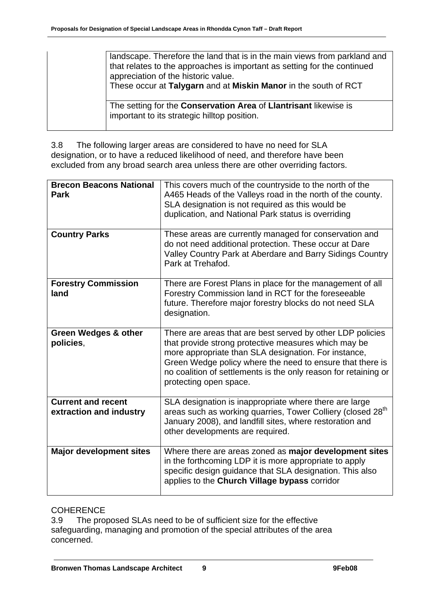| landscape. Therefore the land that is in the main views from parkland and<br>that relates to the approaches is important as setting for the continued<br>appreciation of the historic value.<br>These occur at Talygarn and at Miskin Manor in the south of RCT |
|-----------------------------------------------------------------------------------------------------------------------------------------------------------------------------------------------------------------------------------------------------------------|
| The setting for the <b>Conservation Area</b> of <b>Llantrisant</b> likewise is<br>important to its strategic hilltop position.                                                                                                                                  |

3.8 The following larger areas are considered to have no need for SLA designation, or to have a reduced likelihood of need, and therefore have been excluded from any broad search area unless there are other overriding factors.

| <b>Brecon Beacons National</b><br><b>Park</b>        | This covers much of the countryside to the north of the<br>A465 Heads of the Valleys road in the north of the county.<br>SLA designation is not required as this would be<br>duplication, and National Park status is overriding                                                                                                     |
|------------------------------------------------------|--------------------------------------------------------------------------------------------------------------------------------------------------------------------------------------------------------------------------------------------------------------------------------------------------------------------------------------|
| <b>Country Parks</b>                                 | These areas are currently managed for conservation and<br>do not need additional protection. These occur at Dare<br>Valley Country Park at Aberdare and Barry Sidings Country<br>Park at Trehafod.                                                                                                                                   |
| <b>Forestry Commission</b><br>land                   | There are Forest Plans in place for the management of all<br>Forestry Commission land in RCT for the foreseeable<br>future. Therefore major forestry blocks do not need SLA<br>designation.                                                                                                                                          |
| <b>Green Wedges &amp; other</b><br>policies,         | There are areas that are best served by other LDP policies<br>that provide strong protective measures which may be<br>more appropriate than SLA designation. For instance,<br>Green Wedge policy where the need to ensure that there is<br>no coalition of settlements is the only reason for retaining or<br>protecting open space. |
| <b>Current and recent</b><br>extraction and industry | SLA designation is inappropriate where there are large<br>areas such as working quarries, Tower Colliery (closed 28 <sup>th</sup><br>January 2008), and landfill sites, where restoration and<br>other developments are required.                                                                                                    |
| <b>Major development sites</b>                       | Where there are areas zoned as major development sites<br>in the forthcoming LDP it is more appropriate to apply<br>specific design guidance that SLA designation. This also<br>applies to the Church Village bypass corridor                                                                                                        |

# **COHERENCE**

3.9 The proposed SLAs need to be of sufficient size for the effective safeguarding, managing and promotion of the special attributes of the area concerned.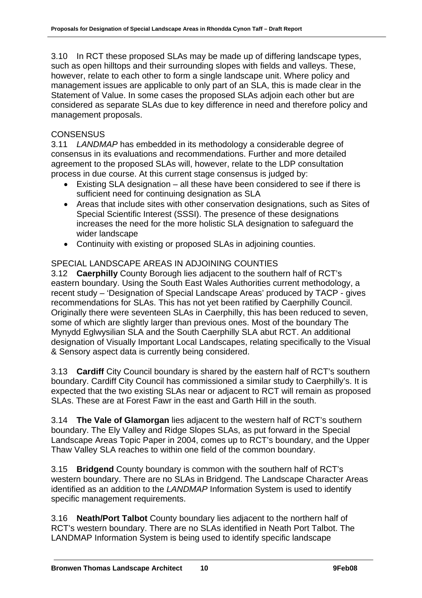3.10 In RCT these proposed SLAs may be made up of differing landscape types, such as open hilltops and their surrounding slopes with fields and valleys. These, however, relate to each other to form a single landscape unit. Where policy and management issues are applicable to only part of an SLA, this is made clear in the Statement of Value. In some cases the proposed SLAs adjoin each other but are considered as separate SLAs due to key difference in need and therefore policy and management proposals.

# **CONSENSUS**

3.11 *LANDMAP* has embedded in its methodology a considerable degree of consensus in its evaluations and recommendations. Further and more detailed agreement to the proposed SLAs will, however, relate to the LDP consultation process in due course. At this current stage consensus is judged by:

- Existing SLA designation all these have been considered to see if there is sufficient need for continuing designation as SLA
- Areas that include sites with other conservation designations, such as Sites of Special Scientific Interest (SSSI). The presence of these designations increases the need for the more holistic SLA designation to safeguard the wider landscape
- Continuity with existing or proposed SLAs in adjoining counties.

# SPECIAL LANDSCAPE AREAS IN ADJOINING COUNTIES

3.12 **Caerphilly** County Borough lies adjacent to the southern half of RCT's eastern boundary. Using the South East Wales Authorities current methodology, a recent study – 'Designation of Special Landscape Areas' produced by TACP - gives recommendations for SLAs. This has not yet been ratified by Caerphilly Council. Originally there were seventeen SLAs in Caerphilly, this has been reduced to seven, some of which are slightly larger than previous ones. Most of the boundary The Mynydd Eglwysilian SLA and the South Caerphilly SLA abut RCT. An additional designation of Visually Important Local Landscapes, relating specifically to the Visual & Sensory aspect data is currently being considered.

3.13 **Cardiff** City Council boundary is shared by the eastern half of RCT's southern boundary. Cardiff City Council has commissioned a similar study to Caerphilly's. It is expected that the two existing SLAs near or adjacent to RCT will remain as proposed SLAs. These are at Forest Fawr in the east and Garth Hill in the south.

3.14 **The Vale of Glamorgan** lies adjacent to the western half of RCT's southern boundary. The Ely Valley and Ridge Slopes SLAs, as put forward in the Special Landscape Areas Topic Paper in 2004, comes up to RCT's boundary, and the Upper Thaw Valley SLA reaches to within one field of the common boundary.

3.15 **Bridgend** County boundary is common with the southern half of RCT's western boundary. There are no SLAs in Bridgend. The Landscape Character Areas identified as an addition to the *LANDMAP* Information System is used to identify specific management requirements.

3.16 **Neath/Port Talbot** County boundary lies adjacent to the northern half of RCT's western boundary. There are no SLAs identified in Neath Port Talbot. The LANDMAP Information System is being used to identify specific landscape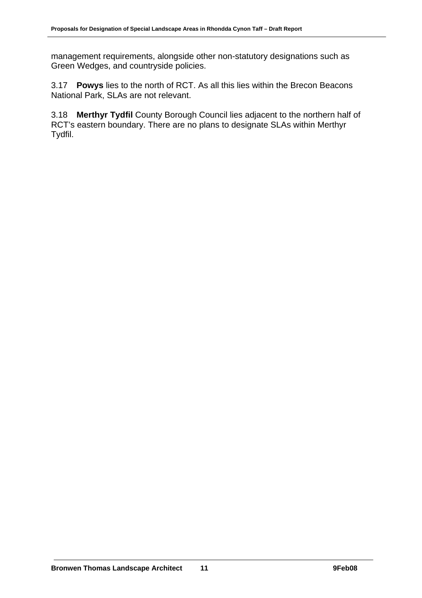management requirements, alongside other non-statutory designations such as Green Wedges, and countryside policies.

3.17 **Powys** lies to the north of RCT. As all this lies within the Brecon Beacons National Park, SLAs are not relevant.

3.18 **Merthyr Tydfil** County Borough Council lies adjacent to the northern half of RCT's eastern boundary. There are no plans to designate SLAs within Merthyr Tydfil.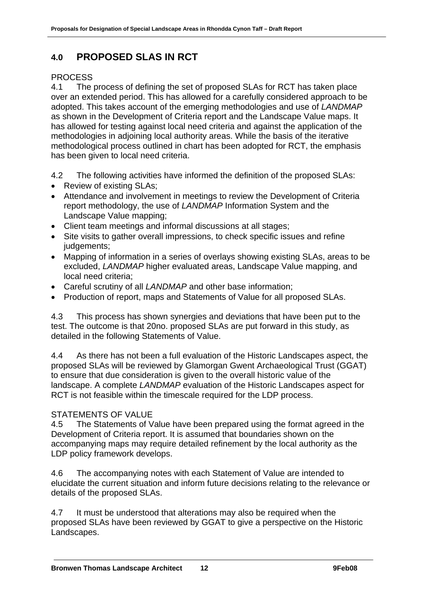# **4.0 PROPOSED SLAS IN RCT**

# **PROCESS**

4.1 The process of defining the set of proposed SLAs for RCT has taken place over an extended period. This has allowed for a carefully considered approach to be adopted. This takes account of the emerging methodologies and use of *LANDMAP* as shown in the Development of Criteria report and the Landscape Value maps. It has allowed for testing against local need criteria and against the application of the methodologies in adjoining local authority areas. While the basis of the iterative methodological process outlined in chart has been adopted for RCT, the emphasis has been given to local need criteria.

4.2 The following activities have informed the definition of the proposed SLAs:

- Review of existing SLAs:
- Attendance and involvement in meetings to review the Development of Criteria report methodology, the use of *LANDMAP* Information System and the Landscape Value mapping;
- Client team meetings and informal discussions at all stages;
- Site visits to gather overall impressions, to check specific issues and refine judgements;
- Mapping of information in a series of overlays showing existing SLAs, areas to be excluded, *LANDMAP* higher evaluated areas, Landscape Value mapping, and local need criteria;
- Careful scrutiny of all *LANDMAP* and other base information;
- Production of report, maps and Statements of Value for all proposed SLAs.

4.3 This process has shown synergies and deviations that have been put to the test. The outcome is that 20no. proposed SLAs are put forward in this study, as detailed in the following Statements of Value.

4.4 As there has not been a full evaluation of the Historic Landscapes aspect, the proposed SLAs will be reviewed by Glamorgan Gwent Archaeological Trust (GGAT) to ensure that due consideration is given to the overall historic value of the landscape. A complete *LANDMAP* evaluation of the Historic Landscapes aspect for RCT is not feasible within the timescale required for the LDP process.

# STATEMENTS OF VALUE

4.5 The Statements of Value have been prepared using the format agreed in the Development of Criteria report. It is assumed that boundaries shown on the accompanying maps may require detailed refinement by the local authority as the LDP policy framework develops.

4.6 The accompanying notes with each Statement of Value are intended to elucidate the current situation and inform future decisions relating to the relevance or details of the proposed SLAs.

4.7 It must be understood that alterations may also be required when the proposed SLAs have been reviewed by GGAT to give a perspective on the Historic Landscapes.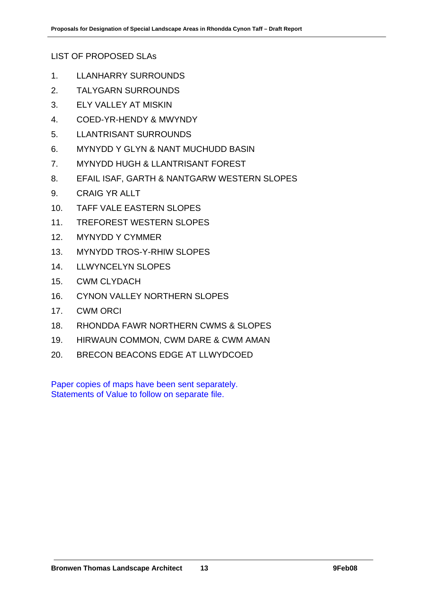LIST OF PROPOSED SLAs

- 1. LLANHARRY SURROUNDS
- 2. TALYGARN SURROUNDS
- 3. ELY VALLEY AT MISKIN
- 4. COED-YR-HENDY & MWYNDY
- 5. LLANTRISANT SURROUNDS
- 6. MYNYDD Y GLYN & NANT MUCHUDD BASIN
- 7. MYNYDD HUGH & LLANTRISANT FOREST
- 8. EFAIL ISAF, GARTH & NANTGARW WESTERN SLOPES
- 9. CRAIG YR ALLT
- 10. TAFF VALE EASTERN SLOPES
- 11. TREFOREST WESTERN SLOPES
- 12. MYNYDD Y CYMMER
- 13. MYNYDD TROS-Y-RHIW SLOPES
- 14. LLWYNCELYN SLOPES
- 15. CWM CLYDACH
- 16. CYNON VALLEY NORTHERN SLOPES
- 17. CWM ORCI
- 18. RHONDDA FAWR NORTHERN CWMS & SLOPES
- 19. HIRWAUN COMMON, CWM DARE & CWM AMAN
- 20. BRECON BEACONS EDGE AT LLWYDCOED

Paper copies of maps have been sent separately. Statements of Value to follow on separate file.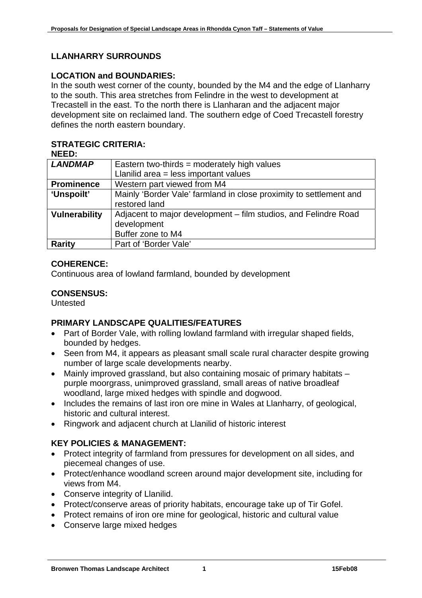# **LLANHARRY SURROUNDS**

#### **LOCATION and BOUNDARIES:**

In the south west corner of the county, bounded by the M4 and the edge of Llanharry to the south. This area stretches from Felindre in the west to development at Trecastell in the east. To the north there is Llanharan and the adjacent major development site on reclaimed land. The southern edge of Coed Trecastell forestry defines the north eastern boundary.

# **STRATEGIC CRITERIA:**

| <b>LANDMAP</b>       | Eastern two-thirds = moderately high values                        |  |
|----------------------|--------------------------------------------------------------------|--|
|                      | Llanilid area = less important values                              |  |
| <b>Prominence</b>    | Western part viewed from M4                                        |  |
| 'Unspoilt'           | Mainly 'Border Vale' farmland in close proximity to settlement and |  |
|                      | restored land                                                      |  |
| <b>Vulnerability</b> | Adjacent to major development – film studios, and Felindre Road    |  |
|                      | development                                                        |  |
|                      | Buffer zone to M4                                                  |  |
| <b>Rarity</b>        | Part of 'Border Vale'                                              |  |

# **COHERENCE:**

Continuous area of lowland farmland, bounded by development

# **CONSENSUS:**

Untested

# **PRIMARY LANDSCAPE QUALITIES/FEATURES**

- Part of Border Vale, with rolling lowland farmland with irregular shaped fields, bounded by hedges.
- Seen from M4, it appears as pleasant small scale rural character despite growing number of large scale developments nearby.
- Mainly improved grassland, but also containing mosaic of primary habitats purple moorgrass, unimproved grassland, small areas of native broadleaf woodland, large mixed hedges with spindle and dogwood.
- Includes the remains of last iron ore mine in Wales at Llanharry, of geological, historic and cultural interest.
- Ringwork and adjacent church at Llanilid of historic interest

# **KEY POLICIES & MANAGEMENT:**

- Protect integrity of farmland from pressures for development on all sides, and piecemeal changes of use.
- Protect/enhance woodland screen around major development site, including for views from M4.
- Conserve integrity of Llanilid.
- Protect/conserve areas of priority habitats, encourage take up of Tir Gofel.
- Protect remains of iron ore mine for geological, historic and cultural value
- Conserve large mixed hedges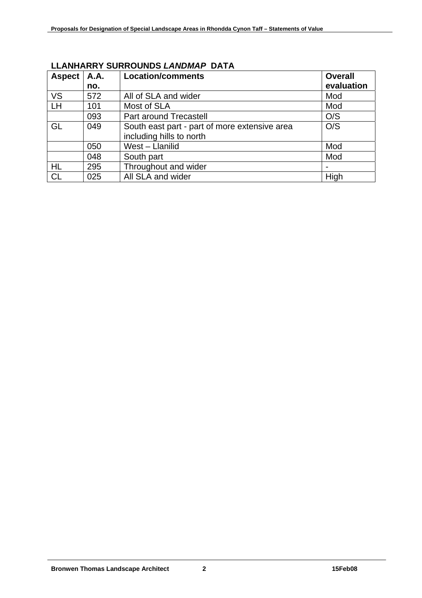| <b>Aspect</b> | <b>A.A.</b> | <b>Location/comments</b>                      | <b>Overall</b> |
|---------------|-------------|-----------------------------------------------|----------------|
|               | no.         |                                               | evaluation     |
| <b>VS</b>     | 572         | All of SLA and wider                          | Mod            |
| <b>LH</b>     | 101         | Most of SLA                                   | Mod            |
|               | 093         | Part around Trecastell                        | O/S            |
| GL            | 049         | South east part - part of more extensive area | O/S            |
|               |             | including hills to north                      |                |
|               | 050         | West - Llanilid                               | Mod            |
|               | 048         | South part                                    | Mod            |
| HL            | 295         | Throughout and wider                          |                |
| <b>CL</b>     | 025         | All SLA and wider                             | High           |

# **LLANHARRY SURROUNDS** *LANDMAP* **DATA**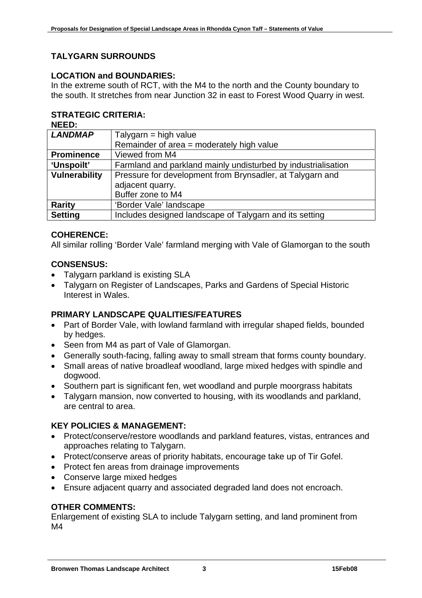# **TALYGARN SURROUNDS**

#### **LOCATION and BOUNDARIES:**

In the extreme south of RCT, with the M4 to the north and the County boundary to the south. It stretches from near Junction 32 in east to Forest Wood Quarry in west.

# **STRATEGIC CRITERIA:**

**NEED:** 

| <b>LANDMAP</b>       | Talygarn = high value                                         |  |
|----------------------|---------------------------------------------------------------|--|
|                      | Remainder of area = moderately high value                     |  |
| <b>Prominence</b>    | Viewed from M4                                                |  |
| 'Unspoilt'           | Farmland and parkland mainly undisturbed by industrialisation |  |
| <b>Vulnerability</b> | Pressure for development from Brynsadler, at Talygarn and     |  |
|                      | adjacent quarry.                                              |  |
|                      | Buffer zone to M4                                             |  |
| <b>Rarity</b>        | 'Border Vale' landscape                                       |  |
| <b>Setting</b>       | Includes designed landscape of Talygarn and its setting       |  |
|                      |                                                               |  |

# **COHERENCE:**

All similar rolling 'Border Vale' farmland merging with Vale of Glamorgan to the south

#### **CONSENSUS:**

- Talygarn parkland is existing SLA
- Talygarn on Register of Landscapes, Parks and Gardens of Special Historic Interest in Wales.

#### **PRIMARY LANDSCAPE QUALITIES/FEATURES**

- Part of Border Vale, with lowland farmland with irregular shaped fields, bounded by hedges.
- Seen from M4 as part of Vale of Glamorgan.
- Generally south-facing, falling away to small stream that forms county boundary.
- Small areas of native broadleaf woodland, large mixed hedges with spindle and dogwood.
- Southern part is significant fen, wet woodland and purple moorgrass habitats
- Talygarn mansion, now converted to housing, with its woodlands and parkland, are central to area.

#### **KEY POLICIES & MANAGEMENT:**

- Protect/conserve/restore woodlands and parkland features, vistas, entrances and approaches relating to Talygarn.
- Protect/conserve areas of priority habitats, encourage take up of Tir Gofel.
- Protect fen areas from drainage improvements
- Conserve large mixed hedges
- Ensure adjacent quarry and associated degraded land does not encroach.

#### **OTHER COMMENTS:**

Enlargement of existing SLA to include Talygarn setting, and land prominent from M4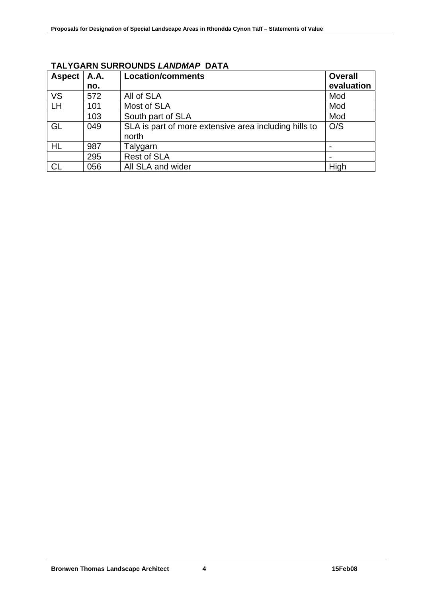| <b>Aspect</b> | A.A. | <b>Location/comments</b>                              | <b>Overall</b> |
|---------------|------|-------------------------------------------------------|----------------|
|               | no.  |                                                       | evaluation     |
| <b>VS</b>     | 572  | All of SLA                                            | Mod            |
| LH            | 101  | Most of SLA                                           | Mod            |
|               | 103  | South part of SLA                                     | Mod            |
| GL            | 049  | SLA is part of more extensive area including hills to | O/S            |
|               |      | north                                                 |                |
| HL            | 987  | Talygarn                                              |                |
|               | 295  | <b>Rest of SLA</b>                                    |                |
|               | 056  | All SLA and wider                                     | High           |

# **TALYGARN SURROUNDS** *LANDMAP* **DATA**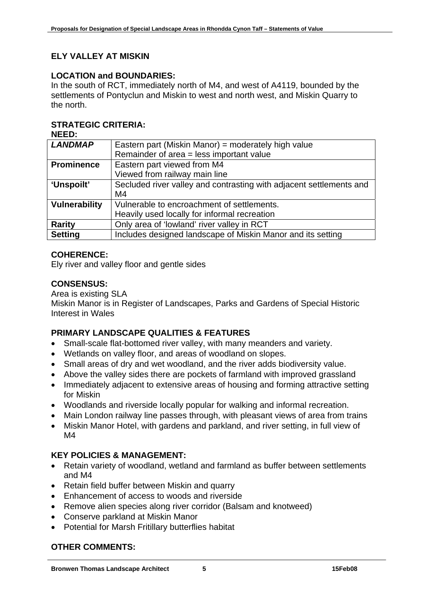# **ELY VALLEY AT MISKIN**

### **LOCATION and BOUNDARIES:**

In the south of RCT, immediately north of M4, and west of A4119, bounded by the settlements of Pontyclun and Miskin to west and north west, and Miskin Quarry to the north.

# **STRATEGIC CRITERIA:**

**NEED:** 

| <b>LANDMAP</b>       | Eastern part (Miskin Manor) = moderately high value                 |
|----------------------|---------------------------------------------------------------------|
|                      | Remainder of area = less important value                            |
| <b>Prominence</b>    | Eastern part viewed from M4                                         |
|                      | Viewed from railway main line                                       |
| 'Unspoilt'           | Secluded river valley and contrasting with adjacent settlements and |
|                      | M4                                                                  |
| <b>Vulnerability</b> | Vulnerable to encroachment of settlements.                          |
|                      | Heavily used locally for informal recreation                        |
| <b>Rarity</b>        | Only area of 'lowland' river valley in RCT                          |
| <b>Setting</b>       | Includes designed landscape of Miskin Manor and its setting         |

# **COHERENCE:**

Ely river and valley floor and gentle sides

# **CONSENSUS:**

#### Area is existing SLA

Miskin Manor is in Register of Landscapes, Parks and Gardens of Special Historic Interest in Wales

# **PRIMARY LANDSCAPE QUALITIES & FEATURES**

- Small-scale flat-bottomed river valley, with many meanders and variety.
- Wetlands on valley floor, and areas of woodland on slopes.
- Small areas of dry and wet woodland, and the river adds biodiversity value.
- Above the valley sides there are pockets of farmland with improved grassland
- Immediately adjacent to extensive areas of housing and forming attractive setting for Miskin
- Woodlands and riverside locally popular for walking and informal recreation.
- Main London railway line passes through, with pleasant views of area from trains
- Miskin Manor Hotel, with gardens and parkland, and river setting, in full view of M4

# **KEY POLICIES & MANAGEMENT:**

- Retain variety of woodland, wetland and farmland as buffer between settlements and M4
- Retain field buffer between Miskin and quarry
- Enhancement of access to woods and riverside
- Remove alien species along river corridor (Balsam and knotweed)
- Conserve parkland at Miskin Manor
- Potential for Marsh Fritillary butterflies habitat

# **OTHER COMMENTS:**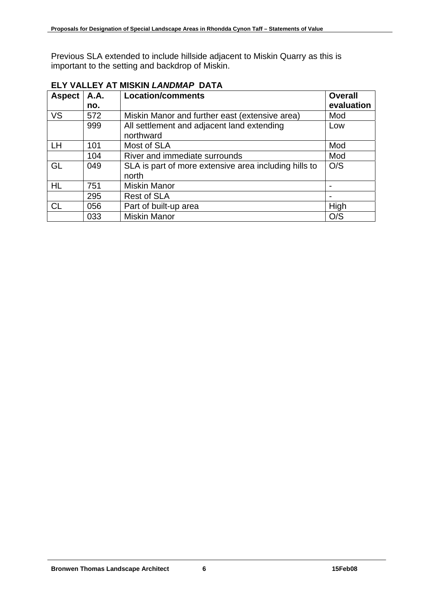Previous SLA extended to include hillside adjacent to Miskin Quarry as this is important to the setting and backdrop of Miskin.

| <b>Aspect</b> | <b>A.A.</b> | <b>Location/comments</b>                              | <b>Overall</b> |
|---------------|-------------|-------------------------------------------------------|----------------|
|               | no.         |                                                       | evaluation     |
| <b>VS</b>     | 572         | Miskin Manor and further east (extensive area)        | Mod            |
|               | 999         | All settlement and adjacent land extending            | Low            |
|               |             | northward                                             |                |
| <b>LH</b>     | 101         | Most of SLA                                           | Mod            |
|               | 104         | River and immediate surrounds                         | Mod            |
| GL            | 049         | SLA is part of more extensive area including hills to | O/S            |
|               |             | north                                                 |                |
| HL            | 751         | <b>Miskin Manor</b>                                   |                |
|               | 295         | <b>Rest of SLA</b>                                    |                |
| <b>CL</b>     | 056         | Part of built-up area                                 | High           |
|               | 033         | <b>Miskin Manor</b>                                   | O/S            |

# **ELY VALLEY AT MISKIN** *LANDMAP* **DATA**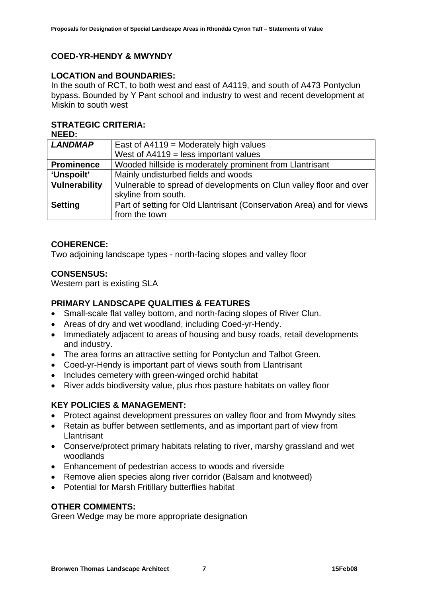# **COED-YR-HENDY & MWYNDY**

#### **LOCATION and BOUNDARIES:**

In the south of RCT, to both west and east of A4119, and south of A473 Pontyclun bypass. Bounded by Y Pant school and industry to west and recent development at Miskin to south west

#### **STRATEGIC CRITERIA:**

| NEED:                |                                                                       |  |
|----------------------|-----------------------------------------------------------------------|--|
| <b>LANDMAP</b>       | East of $A4119$ = Moderately high values                              |  |
|                      | West of $A4119$ = less important values                               |  |
| <b>Prominence</b>    | Wooded hillside is moderately prominent from Llantrisant              |  |
| 'Unspoilt'           | Mainly undisturbed fields and woods                                   |  |
| <b>Vulnerability</b> | Vulnerable to spread of developments on Clun valley floor and over    |  |
|                      | skyline from south.                                                   |  |
| <b>Setting</b>       | Part of setting for Old Llantrisant (Conservation Area) and for views |  |
|                      | from the town                                                         |  |

# **COHERENCE:**

Two adjoining landscape types - north-facing slopes and valley floor

#### **CONSENSUS:**

Western part is existing SLA

### **PRIMARY LANDSCAPE QUALITIES & FEATURES**

- Small-scale flat valley bottom, and north-facing slopes of River Clun.
- Areas of dry and wet woodland, including Coed-yr-Hendy.
- Immediately adjacent to areas of housing and busy roads, retail developments and industry.
- The area forms an attractive setting for Pontyclun and Talbot Green.
- Coed-yr-Hendy is important part of views south from Llantrisant
- Includes cemetery with green-winged orchid habitat
- River adds biodiversity value, plus rhos pasture habitats on valley floor

#### **KEY POLICIES & MANAGEMENT:**

- Protect against development pressures on valley floor and from Mwyndy sites
- Retain as buffer between settlements, and as important part of view from **Llantrisant**
- Conserve/protect primary habitats relating to river, marshy grassland and wet woodlands
- Enhancement of pedestrian access to woods and riverside
- Remove alien species along river corridor (Balsam and knotweed)
- Potential for Marsh Fritillary butterflies habitat

#### **OTHER COMMENTS:**

Green Wedge may be more appropriate designation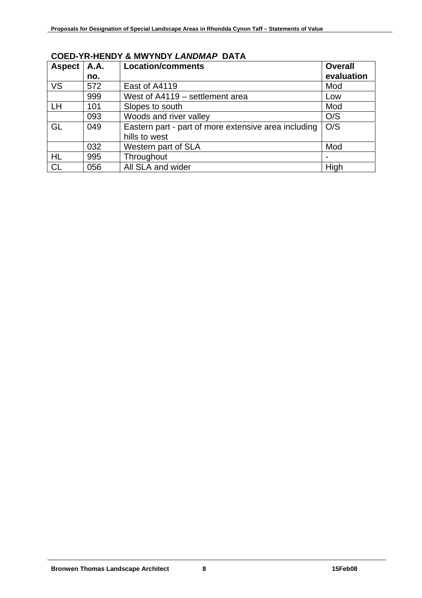| <b>Aspect</b> | A.A. | <b>Location/comments</b>                             | <b>Overall</b> |
|---------------|------|------------------------------------------------------|----------------|
|               | no.  |                                                      | evaluation     |
| <b>VS</b>     | 572  | East of A4119                                        | Mod            |
|               | 999  | West of A4119 - settlement area                      | Low            |
| LH            | 101  | Slopes to south                                      | Mod            |
|               | 093  | Woods and river valley                               | O/S            |
| GL            | 049  | Eastern part - part of more extensive area including | O/S            |
|               |      | hills to west                                        |                |
|               | 032  | Western part of SLA                                  | Mod            |
| <b>HL</b>     | 995  | Throughout                                           |                |
| <b>CL</b>     | 056  | All SLA and wider                                    | High           |

# **COED-YR-HENDY & MWYNDY** *LANDMAP* **DATA**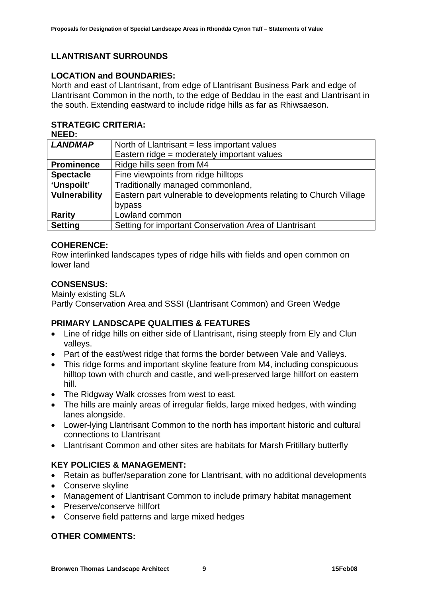# **LLANTRISANT SURROUNDS**

### **LOCATION and BOUNDARIES:**

North and east of Llantrisant, from edge of Llantrisant Business Park and edge of Llantrisant Common in the north, to the edge of Beddau in the east and Llantrisant in the south. Extending eastward to include ridge hills as far as Rhiwsaeson.

# **STRATEGIC CRITERIA:**

| NEED:                |                                                                    |
|----------------------|--------------------------------------------------------------------|
| <b>LANDMAP</b>       | North of Llantrisant = less important values                       |
|                      | Eastern ridge = moderately important values                        |
| <b>Prominence</b>    | Ridge hills seen from M4                                           |
| <b>Spectacle</b>     | Fine viewpoints from ridge hilltops                                |
| 'Unspoilt'           | Traditionally managed commonland,                                  |
| <b>Vulnerability</b> | Eastern part vulnerable to developments relating to Church Village |
|                      | bypass                                                             |
| <b>Rarity</b>        | Lowland common                                                     |
| <b>Setting</b>       | Setting for important Conservation Area of Llantrisant             |

# **COHERENCE:**

Row interlinked landscapes types of ridge hills with fields and open common on lower land

#### **CONSENSUS:**

Mainly existing SLA Partly Conservation Area and SSSI (Llantrisant Common) and Green Wedge

#### **PRIMARY LANDSCAPE QUALITIES & FEATURES**

- Line of ridge hills on either side of Llantrisant, rising steeply from Ely and Clun valleys.
- Part of the east/west ridge that forms the border between Vale and Valleys.
- This ridge forms and important skyline feature from M4, including conspicuous hilltop town with church and castle, and well-preserved large hillfort on eastern hill.
- The Ridgway Walk crosses from west to east.
- The hills are mainly areas of irregular fields, large mixed hedges, with winding lanes alongside.
- Lower-lying Llantrisant Common to the north has important historic and cultural connections to Llantrisant
- Llantrisant Common and other sites are habitats for Marsh Fritillary butterfly

# **KEY POLICIES & MANAGEMENT:**

- Retain as buffer/separation zone for Llantrisant, with no additional developments
- Conserve skyline
- Management of Llantrisant Common to include primary habitat management
- Preserve/conserve hillfort
- Conserve field patterns and large mixed hedges

#### **OTHER COMMENTS:**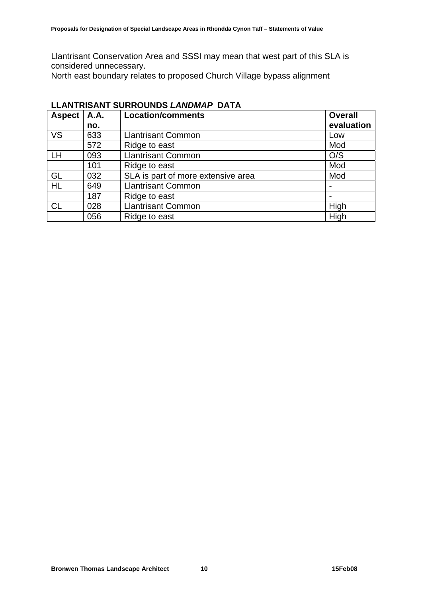Llantrisant Conservation Area and SSSI may mean that west part of this SLA is considered unnecessary.

North east boundary relates to proposed Church Village bypass alignment

| <b>Aspect</b> | A.A. | <b>Location/comments</b>           | <b>Overall</b> |
|---------------|------|------------------------------------|----------------|
|               | no.  |                                    | evaluation     |
| <b>VS</b>     | 633  | <b>Llantrisant Common</b>          | Low            |
|               | 572  | Ridge to east                      | Mod            |
| LH            | 093  | <b>Llantrisant Common</b>          | O/S            |
|               | 101  | Ridge to east                      | Mod            |
| GL            | 032  | SLA is part of more extensive area | Mod            |
| <b>HL</b>     | 649  | <b>Llantrisant Common</b>          |                |
|               | 187  | Ridge to east                      |                |
| CL            | 028  | <b>Llantrisant Common</b>          | High           |
|               | 056  | Ridge to east                      | High           |

# **LLANTRISANT SURROUNDS** *LANDMAP* **DATA**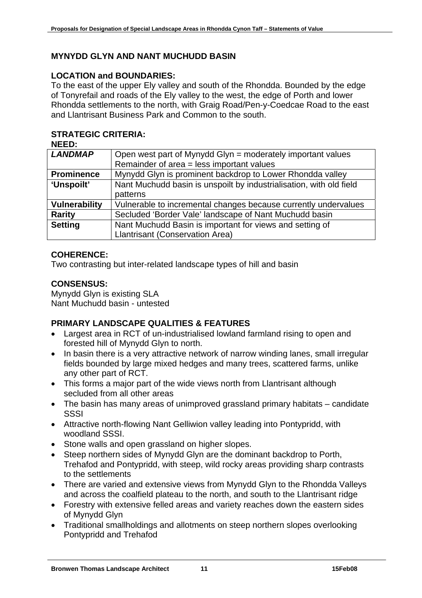# **MYNYDD GLYN AND NANT MUCHUDD BASIN**

### **LOCATION and BOUNDARIES:**

To the east of the upper Ely valley and south of the Rhondda. Bounded by the edge of Tonyrefail and roads of the Ely valley to the west, the edge of Porth and lower Rhondda settlements to the north, with Graig Road/Pen-y-Coedcae Road to the east and Llantrisant Business Park and Common to the south.

# **STRATEGIC CRITERIA:**

| <b>NEED:</b>         |                                                                     |
|----------------------|---------------------------------------------------------------------|
| <b>LANDMAP</b>       | Open west part of Mynydd Glyn = moderately important values         |
|                      | Remainder of area = less important values                           |
| <b>Prominence</b>    | Mynydd Glyn is prominent backdrop to Lower Rhondda valley           |
| 'Unspoilt'           | Nant Muchudd basin is unspoilt by industrialisation, with old field |
|                      | patterns                                                            |
| <b>Vulnerability</b> | Vulnerable to incremental changes because currently undervalues     |
| <b>Rarity</b>        | Secluded 'Border Vale' landscape of Nant Muchudd basin              |
| <b>Setting</b>       | Nant Muchudd Basin is important for views and setting of            |
|                      | <b>Llantrisant (Conservation Area)</b>                              |

#### **COHERENCE:**

Two contrasting but inter-related landscape types of hill and basin

#### **CONSENSUS:**

Mynydd Glyn is existing SLA Nant Muchudd basin - untested

#### **PRIMARY LANDSCAPE QUALITIES & FEATURES**

- Largest area in RCT of un-industrialised lowland farmland rising to open and forested hill of Mynydd Glyn to north.
- In basin there is a very attractive network of narrow winding lanes, small irregular fields bounded by large mixed hedges and many trees, scattered farms, unlike any other part of RCT.
- This forms a major part of the wide views north from Llantrisant although secluded from all other areas
- The basin has many areas of unimproved grassland primary habitats candidate **SSSI**
- Attractive north-flowing Nant Gelliwion valley leading into Pontypridd, with woodland SSSI.
- Stone walls and open grassland on higher slopes.
- Steep northern sides of Mynydd Glyn are the dominant backdrop to Porth, Trehafod and Pontypridd, with steep, wild rocky areas providing sharp contrasts to the settlements
- There are varied and extensive views from Mynydd Glyn to the Rhondda Valleys and across the coalfield plateau to the north, and south to the Llantrisant ridge
- Forestry with extensive felled areas and variety reaches down the eastern sides of Mynydd Glyn
- Traditional smallholdings and allotments on steep northern slopes overlooking Pontypridd and Trehafod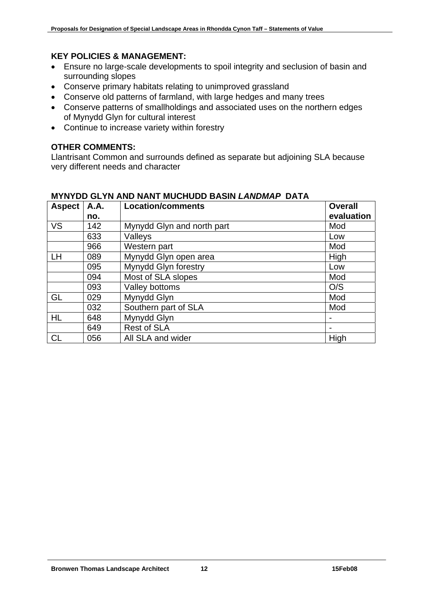# **KEY POLICIES & MANAGEMENT:**

- Ensure no large-scale developments to spoil integrity and seclusion of basin and surrounding slopes
- Conserve primary habitats relating to unimproved grassland
- Conserve old patterns of farmland, with large hedges and many trees
- Conserve patterns of smallholdings and associated uses on the northern edges of Mynydd Glyn for cultural interest
- Continue to increase variety within forestry

# **OTHER COMMENTS:**

Llantrisant Common and surrounds defined as separate but adjoining SLA because very different needs and character

| <b>Aspect</b> | <b>A.A.</b> | <b>Location/comments</b>   | <b>Overall</b>           |
|---------------|-------------|----------------------------|--------------------------|
|               | no.         |                            | evaluation               |
| <b>VS</b>     | 142         | Mynydd Glyn and north part | Mod                      |
|               | 633         | Valleys                    | Low                      |
|               | 966         | Western part               | Mod                      |
| <b>LH</b>     | 089         | Mynydd Glyn open area      | High                     |
|               | 095         | Mynydd Glyn forestry       | Low                      |
|               | 094         | Most of SLA slopes         | Mod                      |
|               | 093         | Valley bottoms             | O/S                      |
| GL            | 029         | Mynydd Glyn                | Mod                      |
|               | 032         | Southern part of SLA       | Mod                      |
| <b>HL</b>     | 648         | Mynydd Glyn                |                          |
|               | 649         | <b>Rest of SLA</b>         | $\overline{\phantom{0}}$ |
| <b>CL</b>     | 056         | All SLA and wider          | High                     |

# **MYNYDD GLYN AND NANT MUCHUDD BASIN** *LANDMAP* **DATA**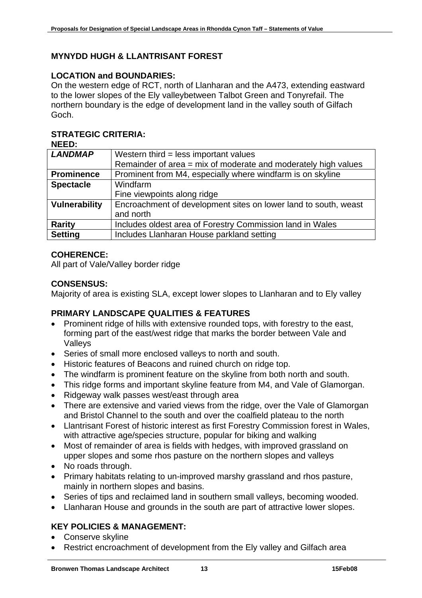# **MYNYDD HUGH & LLANTRISANT FOREST**

#### **LOCATION and BOUNDARIES:**

On the western edge of RCT, north of Llanharan and the A473, extending eastward to the lower slopes of the Ely valleybetween Talbot Green and Tonyrefail. The northern boundary is the edge of development land in the valley south of Gilfach Goch.

# **STRATEGIC CRITERIA:**

| <b>NEED:</b>         |                                                                 |
|----------------------|-----------------------------------------------------------------|
| <b>LANDMAP</b>       | Western third $=$ less important values                         |
|                      | Remainder of area = mix of moderate and moderately high values  |
| <b>Prominence</b>    | Prominent from M4, especially where windfarm is on skyline      |
| <b>Spectacle</b>     | Windfarm                                                        |
|                      | Fine viewpoints along ridge                                     |
| <b>Vulnerability</b> | Encroachment of development sites on lower land to south, weast |
|                      | and north                                                       |
| <b>Rarity</b>        | Includes oldest area of Forestry Commission land in Wales       |
| <b>Setting</b>       | Includes Llanharan House parkland setting                       |

#### **COHERENCE:**

All part of Vale/Valley border ridge

#### **CONSENSUS:**

Majority of area is existing SLA, except lower slopes to Llanharan and to Ely valley

# **PRIMARY LANDSCAPE QUALITIES & FEATURES**

- Prominent ridge of hills with extensive rounded tops, with forestry to the east, forming part of the east/west ridge that marks the border between Vale and Valleys
- Series of small more enclosed valleys to north and south.
- Historic features of Beacons and ruined church on ridge top.
- The windfarm is prominent feature on the skyline from both north and south.
- This ridge forms and important skyline feature from M4, and Vale of Glamorgan.
- Ridgeway walk passes west/east through area
- There are extensive and varied views from the ridge, over the Vale of Glamorgan and Bristol Channel to the south and over the coalfield plateau to the north
- Llantrisant Forest of historic interest as first Forestry Commission forest in Wales, with attractive age/species structure, popular for biking and walking
- Most of remainder of area is fields with hedges, with improved grassland on upper slopes and some rhos pasture on the northern slopes and valleys
- No roads through.
- Primary habitats relating to un-improved marshy grassland and rhos pasture, mainly in northern slopes and basins.
- Series of tips and reclaimed land in southern small valleys, becoming wooded.
- Llanharan House and grounds in the south are part of attractive lower slopes.

# **KEY POLICIES & MANAGEMENT:**

- Conserve skyline
- Restrict encroachment of development from the Ely valley and Gilfach area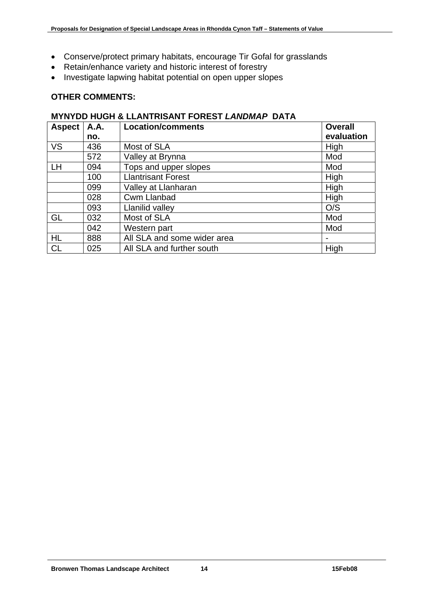- Conserve/protect primary habitats, encourage Tir Gofal for grasslands
- Retain/enhance variety and historic interest of forestry
- Investigate lapwing habitat potential on open upper slopes

# **OTHER COMMENTS:**

#### **MYNYDD HUGH & LLANTRISANT FOREST** *LANDMAP* **DATA**

| <b>Aspect</b> | <b>A.A.</b> | <b>Location/comments</b>    | <b>Overall</b> |
|---------------|-------------|-----------------------------|----------------|
|               | no.         |                             | evaluation     |
| VS            | 436         | Most of SLA                 | High           |
|               | 572         | Valley at Brynna            | Mod            |
| <b>LH</b>     | 094         | Tops and upper slopes       | Mod            |
|               | 100         | <b>Llantrisant Forest</b>   | High           |
|               | 099         | Valley at Llanharan         | High           |
|               | 028         | <b>Cwm Llanbad</b>          | High           |
|               | 093         | Llanilid valley             | O/S            |
| GL            | 032         | Most of SLA                 | Mod            |
|               | 042         | Western part                | Mod            |
| <b>HL</b>     | 888         | All SLA and some wider area |                |
| <b>CL</b>     | 025         | All SLA and further south   | High           |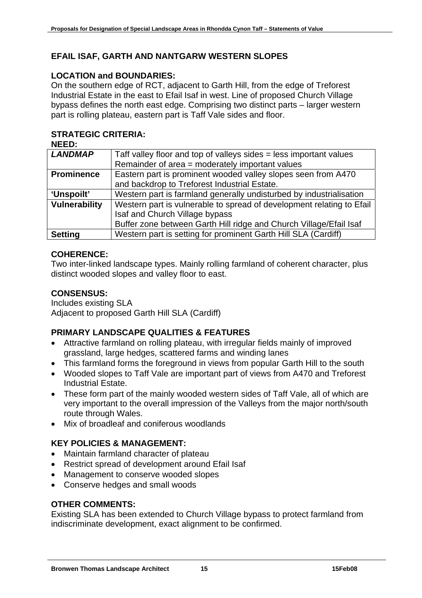# **EFAIL ISAF, GARTH AND NANTGARW WESTERN SLOPES**

# **LOCATION and BOUNDARIES:**

On the southern edge of RCT, adjacent to Garth Hill, from the edge of Treforest Industrial Estate in the east to Efail Isaf in west. Line of proposed Church Village bypass defines the north east edge. Comprising two distinct parts – larger western part is rolling plateau, eastern part is Taff Vale sides and floor.

# **STRATEGIC CRITERIA:**

| NEED:                |                                                                       |  |
|----------------------|-----------------------------------------------------------------------|--|
| <b>LANDMAP</b>       | Taff valley floor and top of valleys sides = less important values    |  |
|                      | Remainder of area = moderately important values                       |  |
| <b>Prominence</b>    | Eastern part is prominent wooded valley slopes seen from A470         |  |
|                      | and backdrop to Treforest Industrial Estate.                          |  |
| 'Unspoilt'           | Western part is farmland generally undisturbed by industrialisation   |  |
| <b>Vulnerability</b> | Western part is vulnerable to spread of development relating to Efail |  |
|                      | Isaf and Church Village bypass                                        |  |
|                      | Buffer zone between Garth Hill ridge and Church Village/Efail Isaf    |  |
| <b>Setting</b>       | Western part is setting for prominent Garth Hill SLA (Cardiff)        |  |

# **COHERENCE:**

Two inter-linked landscape types. Mainly rolling farmland of coherent character, plus distinct wooded slopes and valley floor to east.

#### **CONSENSUS:**

Includes existing SLA Adjacent to proposed Garth Hill SLA (Cardiff)

# **PRIMARY LANDSCAPE QUALITIES & FEATURES**

- Attractive farmland on rolling plateau, with irregular fields mainly of improved grassland, large hedges, scattered farms and winding lanes
- This farmland forms the foreground in views from popular Garth Hill to the south
- Wooded slopes to Taff Vale are important part of views from A470 and Treforest Industrial Estate.
- These form part of the mainly wooded western sides of Taff Vale, all of which are very important to the overall impression of the Valleys from the major north/south route through Wales.
- Mix of broadleaf and coniferous woodlands

# **KEY POLICIES & MANAGEMENT:**

- Maintain farmland character of plateau
- Restrict spread of development around Efail Isaf
- Management to conserve wooded slopes
- Conserve hedges and small woods

#### **OTHER COMMENTS:**

Existing SLA has been extended to Church Village bypass to protect farmland from indiscriminate development, exact alignment to be confirmed.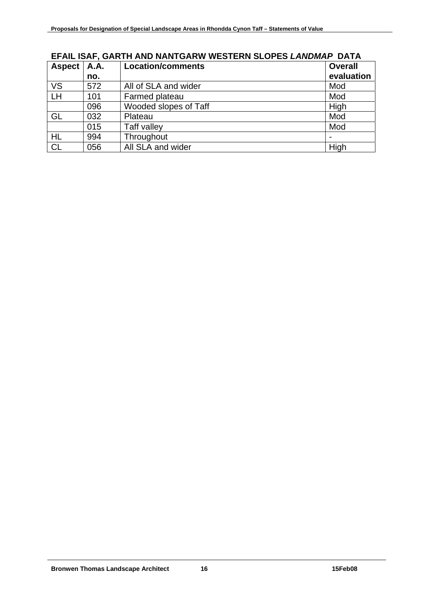| <b>Aspect</b> | <b>A.A.</b> | <b>Location/comments</b> | <b>Overall</b> |
|---------------|-------------|--------------------------|----------------|
|               | no.         |                          | evaluation     |
| <b>VS</b>     | 572         | All of SLA and wider     | Mod            |
| LH            | 101         | Farmed plateau           | Mod            |
|               | 096         | Wooded slopes of Taff    | High           |
| GL            | 032         | Plateau                  | Mod            |
|               | 015         | Taff valley              | Mod            |
| <b>HL</b>     | 994         | Throughout               |                |
| <b>CL</b>     | 056         | All SLA and wider        | High           |

# **EFAIL ISAF, GARTH AND NANTGARW WESTERN SLOPES** *LANDMAP* **DATA**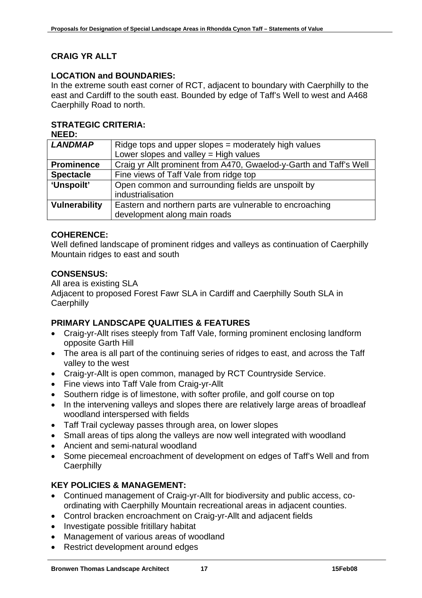# **CRAIG YR ALLT**

### **LOCATION and BOUNDARIES:**

In the extreme south east corner of RCT, adjacent to boundary with Caerphilly to the east and Cardiff to the south east. Bounded by edge of Taff's Well to west and A468 Caerphilly Road to north.

# **STRATEGIC CRITERIA:**

**NEED:** 

| <b>LANDMAP</b>       | Ridge tops and upper slopes = moderately high values               |  |
|----------------------|--------------------------------------------------------------------|--|
|                      | Lower slopes and valley $=$ High values                            |  |
| <b>Prominence</b>    | Craig yr Allt prominent from A470, Gwaelod-y-Garth and Taff's Well |  |
| <b>Spectacle</b>     | Fine views of Taff Vale from ridge top                             |  |
| 'Unspoilt'           | Open common and surrounding fields are unspoilt by                 |  |
|                      | industrialisation                                                  |  |
| <b>Vulnerability</b> | Eastern and northern parts are vulnerable to encroaching           |  |
|                      | development along main roads                                       |  |
|                      |                                                                    |  |

# **COHERENCE:**

Well defined landscape of prominent ridges and valleys as continuation of Caerphilly Mountain ridges to east and south

#### **CONSENSUS:**

All area is existing SLA Adjacent to proposed Forest Fawr SLA in Cardiff and Caerphilly South SLA in **Caerphilly** 

# **PRIMARY LANDSCAPE QUALITIES & FEATURES**

- Craig-yr-Allt rises steeply from Taff Vale, forming prominent enclosing landform opposite Garth Hill
- The area is all part of the continuing series of ridges to east, and across the Taff valley to the west
- Craig-yr-Allt is open common, managed by RCT Countryside Service.
- Fine views into Taff Vale from Craig-yr-Allt
- Southern ridge is of limestone, with softer profile, and golf course on top
- In the intervening valleys and slopes there are relatively large areas of broadleaf woodland interspersed with fields
- Taff Trail cycleway passes through area, on lower slopes
- Small areas of tips along the valleys are now well integrated with woodland
- Ancient and semi-natural woodland
- Some piecemeal encroachment of development on edges of Taff's Well and from **Caerphilly**

# **KEY POLICIES & MANAGEMENT:**

- Continued management of Craig-yr-Allt for biodiversity and public access, coordinating with Caerphilly Mountain recreational areas in adjacent counties.
- Control bracken encroachment on Craig-yr-Allt and adjacent fields
- Investigate possible fritillary habitat
- Management of various areas of woodland
- Restrict development around edges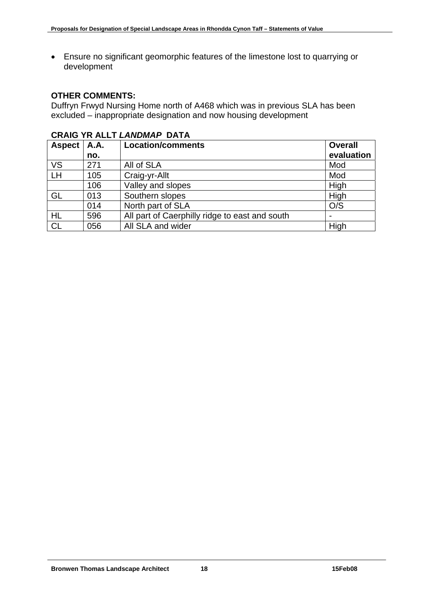• Ensure no significant geomorphic features of the limestone lost to quarrying or development

#### **OTHER COMMENTS:**

Duffryn Frwyd Nursing Home north of A468 which was in previous SLA has been excluded – inappropriate designation and now housing development

| <b>Aspect</b> | <b>A.A.</b> | <b>Location/comments</b>                       | <b>Overall</b> |
|---------------|-------------|------------------------------------------------|----------------|
|               | no.         |                                                | evaluation     |
| <b>VS</b>     | 271         | All of SLA                                     | Mod            |
| LH            | 105         | Craig-yr-Allt                                  | Mod            |
|               | 106         | Valley and slopes                              | High           |
| GL            | 013         | Southern slopes                                | High           |
|               | 014         | North part of SLA                              | O/S            |
| <b>HL</b>     | 596         | All part of Caerphilly ridge to east and south |                |
| <b>CL</b>     | 056         | All SLA and wider                              | High           |

#### **CRAIG YR ALLT** *LANDMAP* **DATA**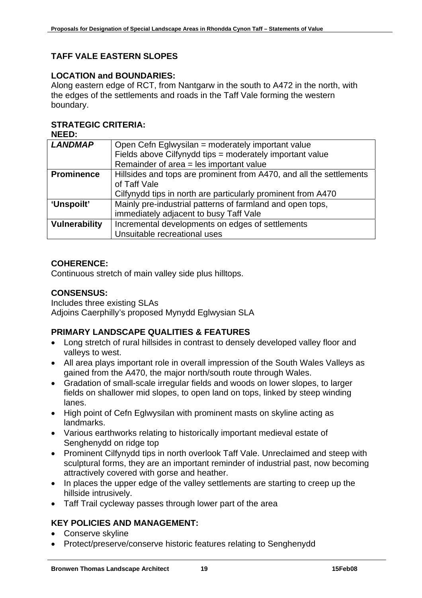# **TAFF VALE EASTERN SLOPES**

#### **LOCATION and BOUNDARIES:**

Along eastern edge of RCT, from Nantgarw in the south to A472 in the north, with the edges of the settlements and roads in the Taff Vale forming the western boundary.

#### **STRATEGIC CRITERIA:**

**NEED:** 

| <b>LANDMAP</b>       | Open Cefn Eglwysilan = moderately important value                   |  |
|----------------------|---------------------------------------------------------------------|--|
|                      | Fields above Cilfynydd tips = moderately important value            |  |
|                      | Remainder of area = les important value                             |  |
| <b>Prominence</b>    | Hillsides and tops are prominent from A470, and all the settlements |  |
|                      | of Taff Vale                                                        |  |
|                      | Cilfynydd tips in north are particularly prominent from A470        |  |
| 'Unspoilt'           | Mainly pre-industrial patterns of farmland and open tops,           |  |
|                      | immediately adjacent to busy Taff Vale                              |  |
| <b>Vulnerability</b> | Incremental developments on edges of settlements                    |  |
|                      | Unsuitable recreational uses                                        |  |

#### **COHERENCE:**

Continuous stretch of main valley side plus hilltops.

#### **CONSENSUS:**

Includes three existing SLAs Adjoins Caerphilly's proposed Mynydd Eglwysian SLA

#### **PRIMARY LANDSCAPE QUALITIES & FEATURES**

- Long stretch of rural hillsides in contrast to densely developed valley floor and valleys to west.
- All area plays important role in overall impression of the South Wales Valleys as gained from the A470, the major north/south route through Wales.
- Gradation of small-scale irregular fields and woods on lower slopes, to larger fields on shallower mid slopes, to open land on tops, linked by steep winding lanes.
- High point of Cefn Eglwysilan with prominent masts on skyline acting as landmarks.
- Various earthworks relating to historically important medieval estate of Senghenydd on ridge top
- Prominent Cilfynydd tips in north overlook Taff Vale. Unreclaimed and steep with sculptural forms, they are an important reminder of industrial past, now becoming attractively covered with gorse and heather.
- In places the upper edge of the valley settlements are starting to creep up the hillside intrusively.
- Taff Trail cycleway passes through lower part of the area

# **KEY POLICIES AND MANAGEMENT:**

- Conserve skyline
- Protect/preserve/conserve historic features relating to Senghenydd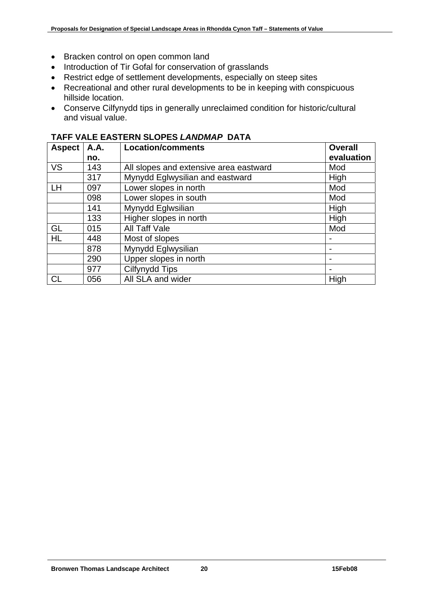- Bracken control on open common land
- Introduction of Tir Gofal for conservation of grasslands
- Restrict edge of settlement developments, especially on steep sites
- Recreational and other rural developments to be in keeping with conspicuous hillside location.
- Conserve Cilfynydd tips in generally unreclaimed condition for historic/cultural and visual value.

| <b>Aspect</b> | <b>A.A.</b><br>no. | <b>Location/comments</b>               | <b>Overall</b><br>evaluation |
|---------------|--------------------|----------------------------------------|------------------------------|
| <b>VS</b>     | 143                | All slopes and extensive area eastward | Mod                          |
|               | 317                | Mynydd Eglwysilian and eastward        | High                         |
| LH            | 097                | Lower slopes in north                  | Mod                          |
|               | 098                | Lower slopes in south                  | Mod                          |
|               | 141                | Mynydd Eglwsilian                      | High                         |
|               | 133                | Higher slopes in north                 | High                         |
| GL            | 015                | All Taff Vale                          | Mod                          |
| <b>HL</b>     | 448                | Most of slopes                         | $\overline{\phantom{0}}$     |
|               | 878                | Mynydd Eglwysilian                     | $\overline{\phantom{0}}$     |
|               | 290                | Upper slopes in north                  | $\overline{\phantom{0}}$     |
|               | 977                | Cilfynydd Tips                         | $\overline{\phantom{0}}$     |
| <b>CL</b>     | 056                | All SLA and wider                      | High                         |

#### **TAFF VALE EASTERN SLOPES** *LANDMAP* **DATA**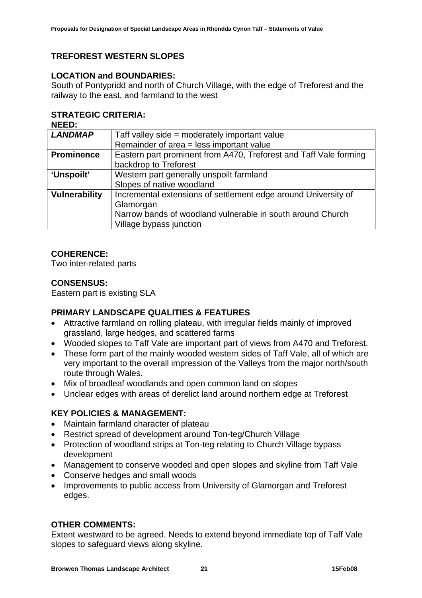# **TREFOREST WESTERN SLOPES**

#### **LOCATION and BOUNDARIES:**

South of Pontypridd and north of Church Village, with the edge of Treforest and the railway to the east, and farmland to the west

# **STRATEGIC CRITERIA:**

|--|--|

| <b>LANDMAP</b>       | Taff valley side = moderately important value                     |
|----------------------|-------------------------------------------------------------------|
|                      |                                                                   |
|                      | Remainder of area = less important value                          |
| <b>Prominence</b>    | Eastern part prominent from A470, Treforest and Taff Vale forming |
|                      | backdrop to Treforest                                             |
| 'Unspoilt'           | Western part generally unspoilt farmland                          |
|                      | Slopes of native woodland                                         |
| <b>Vulnerability</b> | Incremental extensions of settlement edge around University of    |
|                      | Glamorgan                                                         |
|                      | Narrow bands of woodland vulnerable in south around Church        |
|                      | Village bypass junction                                           |

# **COHERENCE:**

Two inter-related parts

#### **CONSENSUS:**

Eastern part is existing SLA

# **PRIMARY LANDSCAPE QUALITIES & FEATURES**

- Attractive farmland on rolling plateau, with irregular fields mainly of improved grassland, large hedges, and scattered farms
- Wooded slopes to Taff Vale are important part of views from A470 and Treforest.
- These form part of the mainly wooded western sides of Taff Vale, all of which are very important to the overall impression of the Valleys from the major north/south route through Wales.
- Mix of broadleaf woodlands and open common land on slopes
- Unclear edges with areas of derelict land around northern edge at Treforest

#### **KEY POLICIES & MANAGEMENT:**

- Maintain farmland character of plateau
- Restrict spread of development around Ton-teg/Church Village
- Protection of woodland strips at Ton-teg relating to Church Village bypass development
- Management to conserve wooded and open slopes and skyline from Taff Vale
- Conserve hedges and small woods
- Improvements to public access from University of Glamorgan and Treforest edges.

#### **OTHER COMMENTS:**

Extent westward to be agreed. Needs to extend beyond immediate top of Taff Vale slopes to safeguard views along skyline.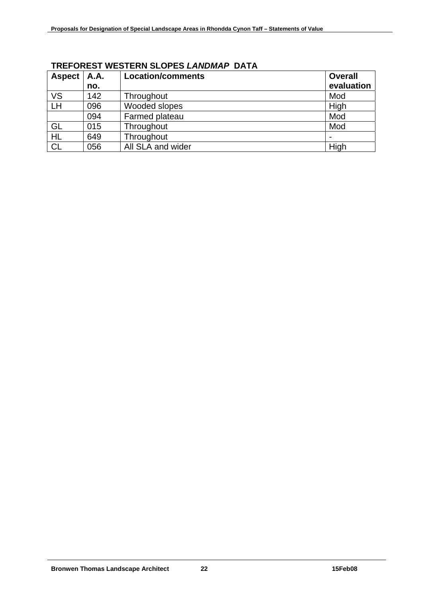| <b>Aspect</b> | <b>A.A.</b> | <b>Location/comments</b> | <b>Overall</b> |
|---------------|-------------|--------------------------|----------------|
|               | no.         |                          | evaluation     |
| <b>VS</b>     | 142         | Throughout               | Mod            |
| LH            | 096         | Wooded slopes            | High           |
|               | 094         | Farmed plateau           | Mod            |
| GL            | 015         | Throughout               | Mod            |
| <b>HL</b>     | 649         | Throughout               |                |
| <b>CL</b>     | 056         | All SLA and wider        | High           |

# **TREFOREST WESTERN SLOPES** *LANDMAP* **DATA**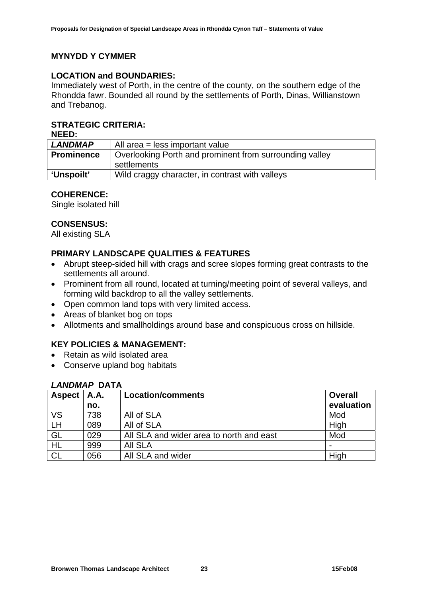# **MYNYDD Y CYMMER**

### **LOCATION and BOUNDARIES:**

Immediately west of Porth, in the centre of the county, on the southern edge of the Rhondda fawr. Bounded all round by the settlements of Porth, Dinas, Willianstown and Trebanog.

### **STRATEGIC CRITERIA:**

**NEED:** 

| <b>LANDMAP</b>    | All area = less important value                                        |
|-------------------|------------------------------------------------------------------------|
| <b>Prominence</b> | Overlooking Porth and prominent from surrounding valley<br>settlements |
| 'Unspoilt'        | Wild craggy character, in contrast with valleys                        |

# **COHERENCE:**

Single isolated hill

# **CONSENSUS:**

All existing SLA

# **PRIMARY LANDSCAPE QUALITIES & FEATURES**

- Abrupt steep-sided hill with crags and scree slopes forming great contrasts to the settlements all around.
- Prominent from all round, located at turning/meeting point of several valleys, and forming wild backdrop to all the valley settlements.
- Open common land tops with very limited access.
- Areas of blanket bog on tops
- Allotments and smallholdings around base and conspicuous cross on hillside.

# **KEY POLICIES & MANAGEMENT:**

- Retain as wild isolated area
- Conserve upland bog habitats

# *LANDMAP* **DATA**

| <b>Aspect</b>             | <b>A.A.</b> | <b>Location/comments</b>                 | <b>Overall</b> |
|---------------------------|-------------|------------------------------------------|----------------|
|                           | no.         |                                          | evaluation     |
| <b>VS</b>                 | 738         | All of SLA                               | Mod            |
| $\overline{\mathsf{L}}$ H | 089         | All of SLA                               | High           |
| GL                        | 029         | All SLA and wider area to north and east | Mod            |
| HL                        | 999         | <b>AII SLA</b>                           |                |
| <b>CL</b>                 | 056         | All SLA and wider                        | High           |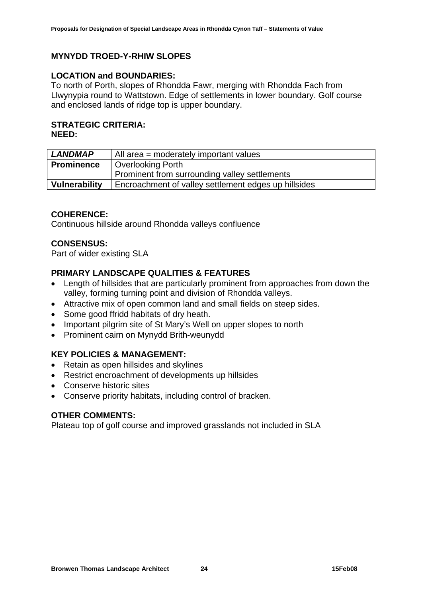# **MYNYDD TROED-Y-RHIW SLOPES**

#### **LOCATION and BOUNDARIES:**

To north of Porth, slopes of Rhondda Fawr, merging with Rhondda Fach from Llwynypia round to Wattstown. Edge of settlements in lower boundary. Golf course and enclosed lands of ridge top is upper boundary.

#### **STRATEGIC CRITERIA: NEED:**

| <b>LANDMAP</b>    | All area = moderately important values               |
|-------------------|------------------------------------------------------|
| <b>Prominence</b> | <b>Overlooking Porth</b>                             |
|                   | Prominent from surrounding valley settlements        |
| Vulnerability     | Encroachment of valley settlement edges up hillsides |

# **COHERENCE:**

Continuous hillside around Rhondda valleys confluence

# **CONSENSUS:**

Part of wider existing SLA

# **PRIMARY LANDSCAPE QUALITIES & FEATURES**

- Length of hillsides that are particularly prominent from approaches from down the valley, forming turning point and division of Rhondda valleys.
- Attractive mix of open common land and small fields on steep sides.
- Some good ffridd habitats of dry heath.
- Important pilgrim site of St Mary's Well on upper slopes to north
- Prominent cairn on Mynydd Brith-weunydd

# **KEY POLICIES & MANAGEMENT:**

- Retain as open hillsides and skylines
- Restrict encroachment of developments up hillsides
- Conserve historic sites
- Conserve priority habitats, including control of bracken.

#### **OTHER COMMENTS:**

Plateau top of golf course and improved grasslands not included in SLA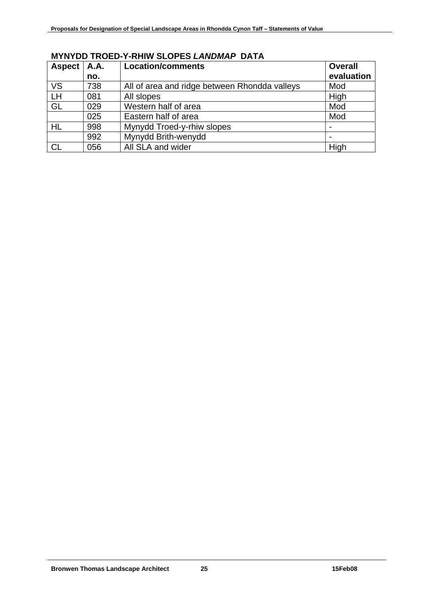| <b>Aspect</b> | <b>A.A.</b> | <b>Location/comments</b>                      | <b>Overall</b> |
|---------------|-------------|-----------------------------------------------|----------------|
|               | no.         |                                               | evaluation     |
| <b>VS</b>     | 738         | All of area and ridge between Rhondda valleys | Mod            |
| LH            | 081         | All slopes                                    | High           |
| GL            | 029         | Western half of area                          | Mod            |
|               | 025         | Eastern half of area                          | Mod            |
| HL            | 998         | Mynydd Troed-y-rhiw slopes                    |                |
|               | 992         | Mynydd Brith-wenydd                           |                |
| CL            | 056         | All SLA and wider                             | High           |

# **MYNYDD TROED-Y-RHIW SLOPES** *LANDMAP* **DATA**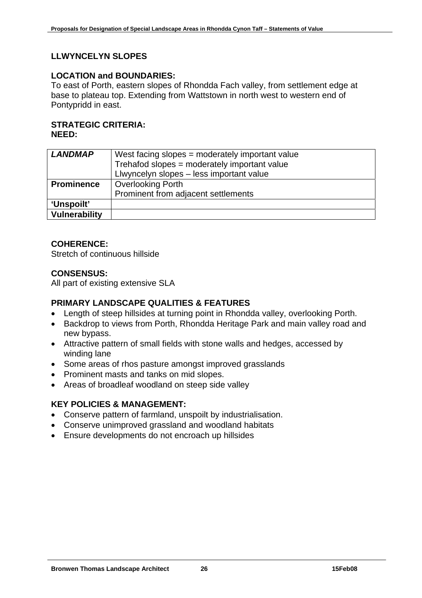# **LLWYNCELYN SLOPES**

#### **LOCATION and BOUNDARIES:**

To east of Porth, eastern slopes of Rhondda Fach valley, from settlement edge at base to plateau top. Extending from Wattstown in north west to western end of Pontypridd in east.

#### **STRATEGIC CRITERIA: NEED:**

| <b>LANDMAP</b>    | West facing slopes = moderately important value |
|-------------------|-------------------------------------------------|
|                   | Trehafod slopes = moderately important value    |
|                   | Llwyncelyn slopes - less important value        |
| <b>Prominence</b> | <b>Overlooking Porth</b>                        |
|                   | Prominent from adjacent settlements             |
| 'Unspoilt'        |                                                 |
| Vulnerability     |                                                 |

#### **COHERENCE:**

Stretch of continuous hillside

#### **CONSENSUS:**

All part of existing extensive SLA

#### **PRIMARY LANDSCAPE QUALITIES & FEATURES**

- Length of steep hillsides at turning point in Rhondda valley, overlooking Porth.
- Backdrop to views from Porth, Rhondda Heritage Park and main valley road and new bypass.
- Attractive pattern of small fields with stone walls and hedges, accessed by winding lane
- Some areas of rhos pasture amongst improved grasslands
- Prominent masts and tanks on mid slopes.
- Areas of broadleaf woodland on steep side valley

#### **KEY POLICIES & MANAGEMENT:**

- Conserve pattern of farmland, unspoilt by industrialisation.
- Conserve unimproved grassland and woodland habitats
- Ensure developments do not encroach up hillsides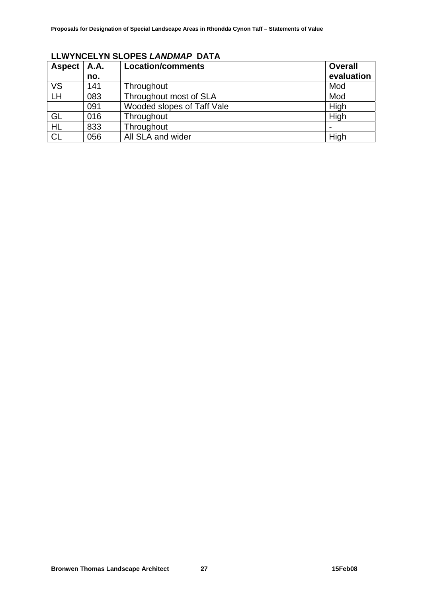| <b>Aspect</b>                     | <b>A.A.</b> | <b>Location/comments</b>   | <b>Overall</b> |
|-----------------------------------|-------------|----------------------------|----------------|
|                                   | no.         |                            | evaluation     |
| <b>VS</b>                         | 141         | Throughout                 | Mod            |
| $\overline{\mathsf{L}}\mathsf{H}$ | 083         | Throughout most of SLA     | Mod            |
|                                   | 091         | Wooded slopes of Taff Vale | High           |
| GL                                | 016         | Throughout                 | High           |
| <b>HL</b>                         | 833         | Throughout                 |                |
| <b>CL</b>                         | 056         | All SLA and wider          | High           |

# **LLWYNCELYN SLOPES** *LANDMAP* **DATA**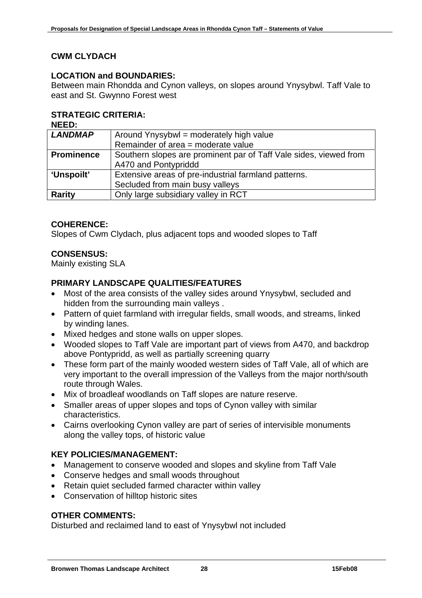# **CWM CLYDACH**

#### **LOCATION and BOUNDARIES:**

Between main Rhondda and Cynon valleys, on slopes around Ynysybwl. Taff Vale to east and St. Gwynno Forest west

# **STRATEGIC CRITERIA:**

**NEED:** 

| <b>LANDMAP</b>    | Around Ynysybwl = moderately high value                           |
|-------------------|-------------------------------------------------------------------|
|                   | Remainder of area = moderate value                                |
| <b>Prominence</b> | Southern slopes are prominent par of Taff Vale sides, viewed from |
|                   | A470 and Pontypriddd                                              |
| <b>'Unspoilt'</b> | Extensive areas of pre-industrial farmland patterns.              |
|                   | Secluded from main busy valleys                                   |
| <b>Rarity</b>     | Only large subsidiary valley in RCT                               |

#### **COHERENCE:**

Slopes of Cwm Clydach, plus adjacent tops and wooded slopes to Taff

# **CONSENSUS:**

Mainly existing SLA

#### **PRIMARY LANDSCAPE QUALITIES/FEATURES**

- Most of the area consists of the valley sides around Ynysybwl, secluded and hidden from the surrounding main valleys .
- Pattern of quiet farmland with irregular fields, small woods, and streams, linked by winding lanes.
- Mixed hedges and stone walls on upper slopes.
- Wooded slopes to Taff Vale are important part of views from A470, and backdrop above Pontypridd, as well as partially screening quarry
- These form part of the mainly wooded western sides of Taff Vale, all of which are very important to the overall impression of the Valleys from the major north/south route through Wales.
- Mix of broadleaf woodlands on Taff slopes are nature reserve.
- Smaller areas of upper slopes and tops of Cynon valley with similar characteristics.
- Cairns overlooking Cynon valley are part of series of intervisible monuments along the valley tops, of historic value

#### **KEY POLICIES/MANAGEMENT:**

- Management to conserve wooded and slopes and skyline from Taff Vale
- Conserve hedges and small woods throughout
- Retain quiet secluded farmed character within valley
- Conservation of hilltop historic sites

#### **OTHER COMMENTS:**

Disturbed and reclaimed land to east of Ynysybwl not included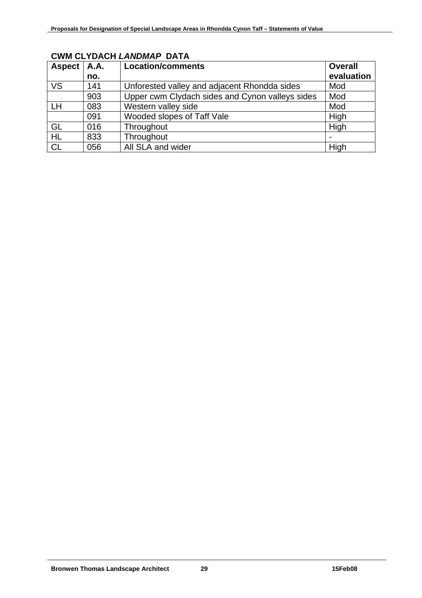| Aspect    | <b>A.A.</b><br>no. | <b>Location/comments</b>                        | <b>Overall</b><br>evaluation |
|-----------|--------------------|-------------------------------------------------|------------------------------|
| <b>VS</b> | 141                | Unforested valley and adjacent Rhondda sides    | Mod                          |
|           | 903                | Upper cwm Clydach sides and Cynon valleys sides | Mod                          |
| LH        | 083                | Western valley side                             | Mod                          |
|           | 091                | Wooded slopes of Taff Vale                      | High                         |
| GL        | 016                | Throughout                                      | High                         |
| <b>HL</b> | 833                | Throughout                                      |                              |
| <b>CL</b> | 056                | All SLA and wider                               | High                         |

# **CWM CLYDACH** *LANDMAP* **DATA**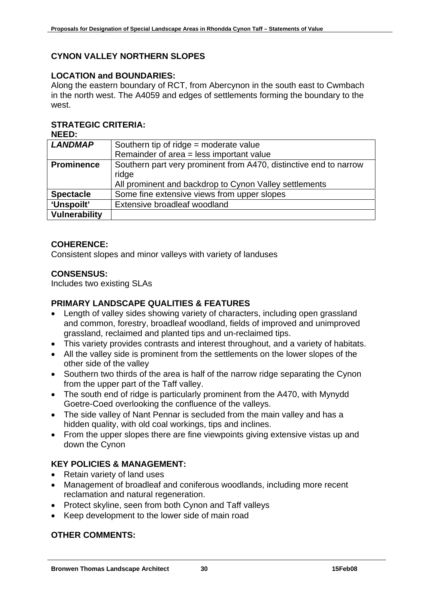# **CYNON VALLEY NORTHERN SLOPES**

# **LOCATION and BOUNDARIES:**

Along the eastern boundary of RCT, from Abercynon in the south east to Cwmbach in the north west. The A4059 and edges of settlements forming the boundary to the west.

# **STRATEGIC CRITERIA:**

**NEED:** 

| <b>LANDMAP</b>       | Southern tip of $ridge = moderate value$                          |
|----------------------|-------------------------------------------------------------------|
|                      | Remainder of area = less important value                          |
| <b>Prominence</b>    | Southern part very prominent from A470, distinctive end to narrow |
|                      | ridge                                                             |
|                      | All prominent and backdrop to Cynon Valley settlements            |
| <b>Spectacle</b>     | Some fine extensive views from upper slopes                       |
| 'Unspoilt'           | Extensive broadleaf woodland                                      |
| <b>Vulnerability</b> |                                                                   |

# **COHERENCE:**

Consistent slopes and minor valleys with variety of landuses

#### **CONSENSUS:**

Includes two existing SLAs

# **PRIMARY LANDSCAPE QUALITIES & FEATURES**

- Length of valley sides showing variety of characters, including open grassland and common, forestry, broadleaf woodland, fields of improved and unimproved grassland, reclaimed and planted tips and un-reclaimed tips.
- This variety provides contrasts and interest throughout, and a variety of habitats.
- All the valley side is prominent from the settlements on the lower slopes of the other side of the valley
- Southern two thirds of the area is half of the narrow ridge separating the Cynon from the upper part of the Taff valley.
- The south end of ridge is particularly prominent from the A470, with Mynydd Goetre-Coed overlooking the confluence of the valleys.
- The side valley of Nant Pennar is secluded from the main valley and has a hidden quality, with old coal workings, tips and inclines.
- From the upper slopes there are fine viewpoints giving extensive vistas up and down the Cynon

# **KEY POLICIES & MANAGEMENT:**

- Retain variety of land uses
- Management of broadleaf and coniferous woodlands, including more recent reclamation and natural regeneration.
- Protect skyline, seen from both Cynon and Taff valleys
- Keep development to the lower side of main road

# **OTHER COMMENTS:**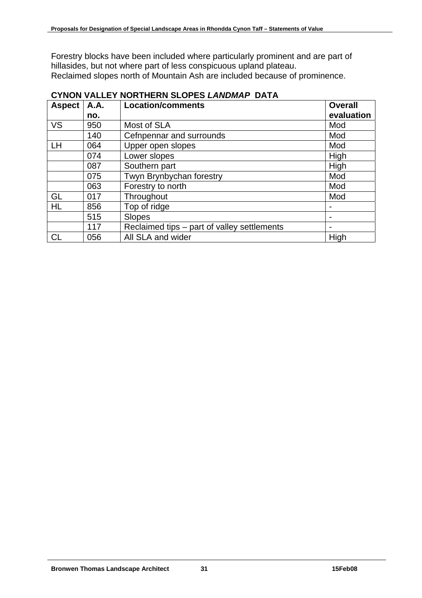Forestry blocks have been included where particularly prominent and are part of hillasides, but not where part of less conspicuous upland plateau. Reclaimed slopes north of Mountain Ash are included because of prominence.

| <b>Aspect</b> | <b>A.A.</b><br>no. | <b>Location/comments</b>                    | <b>Overall</b><br>evaluation |
|---------------|--------------------|---------------------------------------------|------------------------------|
|               |                    |                                             |                              |
| <b>VS</b>     | 950                | Most of SLA                                 | Mod                          |
|               | 140                | Cefnpennar and surrounds                    | Mod                          |
| <b>LH</b>     | 064                | Upper open slopes                           | Mod                          |
|               | 074                | Lower slopes                                | High                         |
|               | 087                | Southern part                               | High                         |
|               | 075                | Twyn Brynbychan forestry                    | Mod                          |
|               | 063                | Forestry to north                           | Mod                          |
| GL            | 017                | Throughout                                  | Mod                          |
| <b>HL</b>     | 856                | Top of ridge                                |                              |
|               | 515                | <b>Slopes</b>                               | $\blacksquare$               |
|               | 117                | Reclaimed tips – part of valley settlements | ۰                            |
| <b>CL</b>     | 056                | All SLA and wider                           | High                         |

# **CYNON VALLEY NORTHERN SLOPES** *LANDMAP* **DATA**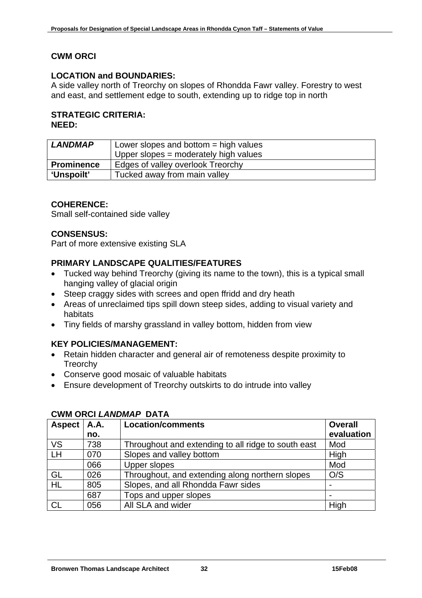# **CWM ORCI**

# **LOCATION and BOUNDARIES:**

A side valley north of Treorchy on slopes of Rhondda Fawr valley. Forestry to west and east, and settlement edge to south, extending up to ridge top in north

#### **STRATEGIC CRITERIA: NEED:**

| <b>LANDMAP</b>    | Lower slopes and bottom $=$ high values |
|-------------------|-----------------------------------------|
|                   | Upper slopes = moderately high values   |
| <b>Prominence</b> | Edges of valley overlook Treorchy       |
| 'Unspoilt'        | Tucked away from main valley            |

# **COHERENCE:**

Small self-contained side valley

#### **CONSENSUS:**

Part of more extensive existing SLA

# **PRIMARY LANDSCAPE QUALITIES/FEATURES**

- Tucked way behind Treorchy (giving its name to the town), this is a typical small hanging valley of glacial origin
- Steep craggy sides with screes and open ffridd and dry heath
- Areas of unreclaimed tips spill down steep sides, adding to visual variety and habitats
- Tiny fields of marshy grassland in valley bottom, hidden from view

#### **KEY POLICIES/MANAGEMENT:**

- Retain hidden character and general air of remoteness despite proximity to **Treorchy**
- Conserve good mosaic of valuable habitats
- Ensure development of Treorchy outskirts to do intrude into valley

| Aspect    | <b>A.A.</b> | <b>Location/comments</b>                            | <b>Overall</b> |
|-----------|-------------|-----------------------------------------------------|----------------|
|           | no.         |                                                     | evaluation     |
| <b>VS</b> | 738         | Throughout and extending to all ridge to south east | Mod            |
| LH        | 070         | Slopes and valley bottom                            | High           |
|           | 066         | <b>Upper slopes</b>                                 | Mod            |
| GL        | 026         | Throughout, and extending along northern slopes     | O/S            |
| <b>HL</b> | 805         | Slopes, and all Rhondda Fawr sides                  |                |
|           | 687         | Tops and upper slopes                               |                |
| СL        | 056         | All SLA and wider                                   | High           |

#### **CWM ORCI** *LANDMAP* **DATA**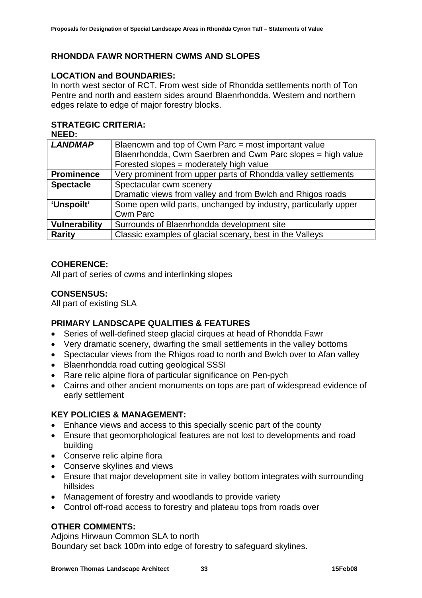# **RHONDDA FAWR NORTHERN CWMS AND SLOPES**

### **LOCATION and BOUNDARIES:**

In north west sector of RCT. From west side of Rhondda settlements north of Ton Pentre and north and eastern sides around Blaenrhondda. Western and northern edges relate to edge of major forestry blocks.

# **STRATEGIC CRITERIA:**

| <b>NEED:</b>         |                                                                 |  |  |
|----------------------|-----------------------------------------------------------------|--|--|
| <b>LANDMAP</b>       | Blaencwm and top of Cwm Parc = most important value             |  |  |
|                      | Blaenrhondda, Cwm Saerbren and Cwm Parc slopes = high value     |  |  |
|                      | Forested slopes = moderately high value                         |  |  |
| <b>Prominence</b>    | Very prominent from upper parts of Rhondda valley settlements   |  |  |
| <b>Spectacle</b>     | Spectacular cwm scenery                                         |  |  |
|                      | Dramatic views from valley and from Bwlch and Rhigos roads      |  |  |
| 'Unspoilt'           | Some open wild parts, unchanged by industry, particularly upper |  |  |
|                      | <b>Cwm Parc</b>                                                 |  |  |
| <b>Vulnerability</b> | Surrounds of Blaenrhondda development site                      |  |  |
| <b>Rarity</b>        | Classic examples of glacial scenary, best in the Valleys        |  |  |
|                      |                                                                 |  |  |

# **COHERENCE:**

All part of series of cwms and interlinking slopes

# **CONSENSUS:**

All part of existing SLA

### **PRIMARY LANDSCAPE QUALITIES & FEATURES**

- Series of well-defined steep glacial cirques at head of Rhondda Fawr
- Very dramatic scenery, dwarfing the small settlements in the valley bottoms
- Spectacular views from the Rhigos road to north and Bwlch over to Afan valley
- Blaenrhondda road cutting geological SSSI
- Rare relic alpine flora of particular significance on Pen-pych
- Cairns and other ancient monuments on tops are part of widespread evidence of early settlement

#### **KEY POLICIES & MANAGEMENT:**

- Enhance views and access to this specially scenic part of the county
- Ensure that geomorphological features are not lost to developments and road building
- Conserve relic alpine flora
- Conserve skylines and views
- Ensure that major development site in valley bottom integrates with surrounding hillsides
- Management of forestry and woodlands to provide variety
- Control off-road access to forestry and plateau tops from roads over

#### **OTHER COMMENTS:**

Adjoins Hirwaun Common SLA to north Boundary set back 100m into edge of forestry to safeguard skylines.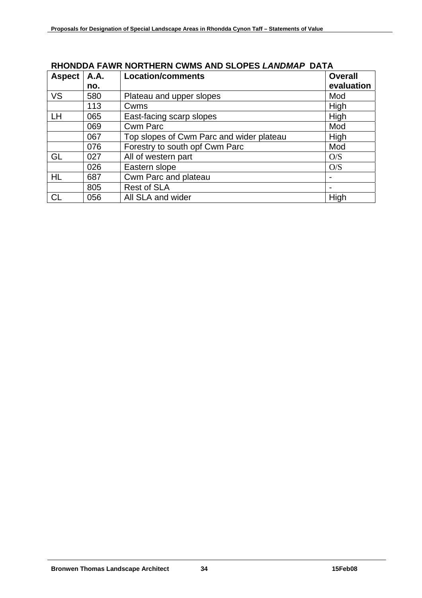| <b>Aspect</b> | <b>A.A.</b> | <b>Location/comments</b>                 | <b>Overall</b>           |
|---------------|-------------|------------------------------------------|--------------------------|
|               | no.         |                                          | evaluation               |
| <b>VS</b>     | 580         | Plateau and upper slopes                 | Mod                      |
|               | 113         | Cwms                                     | High                     |
| LH            | 065         | East-facing scarp slopes                 | High                     |
|               | 069         | <b>Cwm Parc</b>                          | Mod                      |
|               | 067         | Top slopes of Cwm Parc and wider plateau | High                     |
|               | 076         | Forestry to south opf Cwm Parc           | Mod                      |
| GL            | 027         | All of western part                      | O/S                      |
|               | 026         | Eastern slope                            | O/S                      |
| HL            | 687         | Cwm Parc and plateau                     |                          |
|               | 805         | <b>Rest of SLA</b>                       | $\overline{\phantom{0}}$ |
| СL            | 056         | All SLA and wider                        | High                     |

# **RHONDDA FAWR NORTHERN CWMS AND SLOPES** *LANDMAP* **DATA**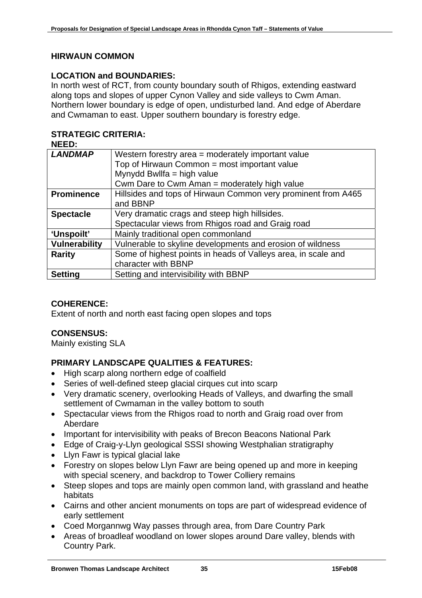# **HIRWAUN COMMON**

#### **LOCATION and BOUNDARIES:**

In north west of RCT, from county boundary south of Rhigos, extending eastward along tops and slopes of upper Cynon Valley and side valleys to Cwm Aman. Northern lower boundary is edge of open, undisturbed land. And edge of Aberdare and Cwmaman to east. Upper southern boundary is forestry edge.

# **STRATEGIC CRITERIA:**

| <b>NEED:</b>         |                                                               |
|----------------------|---------------------------------------------------------------|
| <b>LANDMAP</b>       | Western forestry area = moderately important value            |
|                      | Top of Hirwaun Common = most important value                  |
|                      | Mynydd Bwllfa = high value                                    |
|                      | Cwm Dare to Cwm Aman = moderately high value                  |
| <b>Prominence</b>    | Hillsides and tops of Hirwaun Common very prominent from A465 |
|                      | and BBNP                                                      |
| <b>Spectacle</b>     | Very dramatic crags and steep high hillsides.                 |
|                      | Spectacular views from Rhigos road and Graig road             |
| 'Unspoilt'           | Mainly traditional open commonland                            |
| <b>Vulnerability</b> | Vulnerable to skyline developments and erosion of wildness    |
| <b>Rarity</b>        | Some of highest points in heads of Valleys area, in scale and |
|                      | character with BBNP                                           |
| <b>Setting</b>       | Setting and intervisibility with BBNP                         |

# **COHERENCE:**

Extent of north and north east facing open slopes and tops

#### **CONSENSUS:**

Mainly existing SLA

# **PRIMARY LANDSCAPE QUALITIES & FEATURES:**

- High scarp along northern edge of coalfield
- Series of well-defined steep glacial cirques cut into scarp
- Very dramatic scenery, overlooking Heads of Valleys, and dwarfing the small settlement of Cwmaman in the valley bottom to south
- Spectacular views from the Rhigos road to north and Graig road over from Aberdare
- Important for intervisibility with peaks of Brecon Beacons National Park
- Edge of Craig-y-Llyn geological SSSI showing Westphalian stratigraphy
- Llyn Fawr is typical glacial lake
- Forestry on slopes below Llyn Fawr are being opened up and more in keeping with special scenery, and backdrop to Tower Colliery remains
- Steep slopes and tops are mainly open common land, with grassland and heathe habitats
- Cairns and other ancient monuments on tops are part of widespread evidence of early settlement
- Coed Morgannwg Way passes through area, from Dare Country Park
- Areas of broadleaf woodland on lower slopes around Dare valley, blends with Country Park.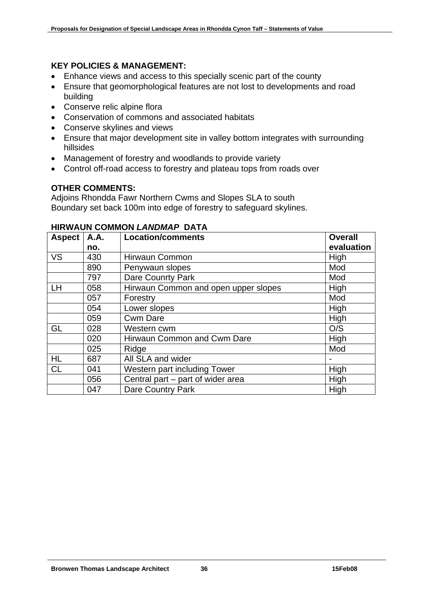### **KEY POLICIES & MANAGEMENT:**

- Enhance views and access to this specially scenic part of the county
- Ensure that geomorphological features are not lost to developments and road building
- Conserve relic alpine flora
- Conservation of commons and associated habitats
- Conserve skylines and views
- Ensure that major development site in valley bottom integrates with surrounding hillsides
- Management of forestry and woodlands to provide variety
- Control off-road access to forestry and plateau tops from roads over

#### **OTHER COMMENTS:**

Adjoins Rhondda Fawr Northern Cwms and Slopes SLA to south Boundary set back 100m into edge of forestry to safeguard skylines.

| <b>Aspect</b> | A.A. | <b>Location/comments</b>             | <b>Overall</b> |
|---------------|------|--------------------------------------|----------------|
|               | no.  |                                      | evaluation     |
| <b>VS</b>     | 430  | <b>Hirwaun Common</b>                | High           |
|               | 890  | Penywaun slopes                      | Mod            |
|               | 797  | <b>Dare Counrty Park</b>             | Mod            |
| <b>LH</b>     | 058  | Hirwaun Common and open upper slopes | High           |
|               | 057  | Forestry                             | Mod            |
|               | 054  | Lower slopes                         | High           |
|               | 059  | <b>Cwm Dare</b>                      | High           |
| GL            | 028  | Western cwm                          | O/S            |
|               | 020  | Hirwaun Common and Cwm Dare          | High           |
|               | 025  | Ridge                                | Mod            |
| <b>HL</b>     | 687  | All SLA and wider                    |                |
| <b>CL</b>     | 041  | Western part including Tower         | High           |
|               | 056  | Central part - part of wider area    | High           |
|               | 047  | <b>Dare Country Park</b>             | High           |

#### **HIRWAUN COMMON** *LANDMAP* **DATA**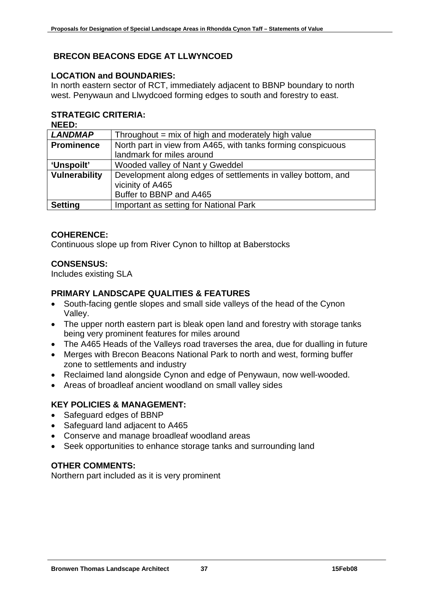# **BRECON BEACONS EDGE AT LLWYNCOED**

# **LOCATION and BOUNDARIES:**

In north eastern sector of RCT, immediately adjacent to BBNP boundary to north west. Penywaun and Llwydcoed forming edges to south and forestry to east.

# **STRATEGIC CRITERIA:**

| <b>NEED:</b>         |                                                                                                             |
|----------------------|-------------------------------------------------------------------------------------------------------------|
| <b>LANDMAP</b>       | Throughout $=$ mix of high and moderately high value                                                        |
| <b>Prominence</b>    | North part in view from A465, with tanks forming conspicuous                                                |
|                      | landmark for miles around                                                                                   |
| 'Unspoilt'           | Wooded valley of Nant y Gweddel                                                                             |
| <b>Vulnerability</b> | Development along edges of settlements in valley bottom, and<br>vicinity of A465<br>Buffer to BBNP and A465 |
|                      |                                                                                                             |
| <b>Setting</b>       | Important as setting for National Park                                                                      |

# **COHERENCE:**

Continuous slope up from River Cynon to hilltop at Baberstocks

# **CONSENSUS:**

Includes existing SLA

# **PRIMARY LANDSCAPE QUALITIES & FEATURES**

- South-facing gentle slopes and small side valleys of the head of the Cynon Valley.
- The upper north eastern part is bleak open land and forestry with storage tanks being very prominent features for miles around
- The A465 Heads of the Valleys road traverses the area, due for dualling in future
- Merges with Brecon Beacons National Park to north and west, forming buffer zone to settlements and industry
- Reclaimed land alongside Cynon and edge of Penywaun, now well-wooded.
- Areas of broadleaf ancient woodland on small valley sides

# **KEY POLICIES & MANAGEMENT:**

- Safeguard edges of BBNP
- Safeguard land adjacent to A465
- Conserve and manage broadleaf woodland areas
- Seek opportunities to enhance storage tanks and surrounding land

# **OTHER COMMENTS:**

Northern part included as it is very prominent